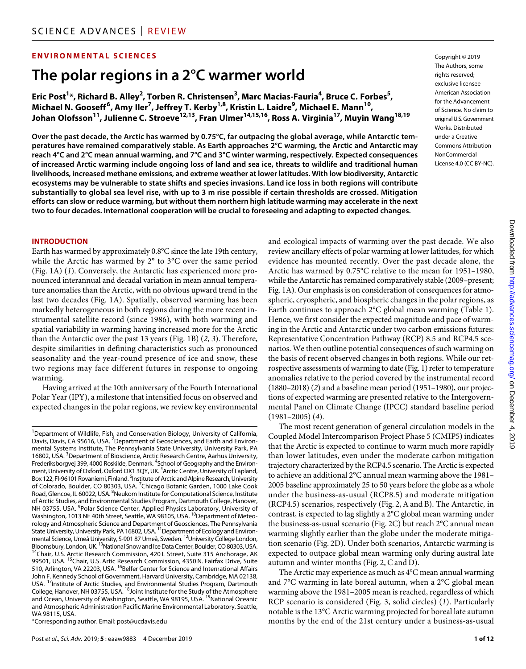# **ENVIRONMENTAL SCIENCES**

# **The polar regions in a 2°C warmer world**

**Eric Post1 \*, Richard B. Alley2 , Torben R. Christensen3 , Marc Macias-Fauria4 , Bruce C. Forbes5 , Michael N. Gooseff<sup>6</sup> , Amy Iler7 , Jeffrey T. Kerby1,8, Kristin L. Laidre9 , Michael E. Mann10, Johan Olofsson11, Julienne C. Stroeve12,13, Fran Ulmer14,15,16, Ross A. Virginia17, Muyin Wang18,19**

**Over the past decade, the Arctic has warmed by 0.75°C, far outpacing the global average, while Antarctic temperatures have remained comparatively stable. As Earth approaches 2°C warming, the Arctic and Antarctic may reach 4°C and 2°C mean annual warming, and 7°C and 3°C winter warming, respectively. Expected consequences of increased Arctic warming include ongoing loss of land and sea ice, threats to wildlife and traditional human livelihoods, increased methane emissions, and extreme weather at lower latitudes. With low biodiversity, Antarctic ecosystems may be vulnerable to state shifts and species invasions. Land ice loss in both regions will contribute substantially to global sea level rise, with up to 3 m rise possible if certain thresholds are crossed. Mitigation efforts can slow or reduce warming, but without them northern high latitude warming may accelerate in the next two to four decades. International cooperation will be crucial to foreseeing and adapting to expected changes.**

Copyright © 2019 The Authors, some rights reserved: exclusive licensee American Association for the Advancement of Science. No claim to original U.S.Government Works. Distributed under a Creative Commons Attribution NonCommercial License 4.0 (CC BY-NC).

#### **INTRODUCTION**

Earth has warmed by approximately 0.8°C since the late 19th century, while the Arctic has warmed by 2° to 3°C over the same period (Fig. 1A) (*1*). Conversely, the Antarctic has experienced more pronounced interannual and decadal variation in mean annual temperature anomalies than the Arctic, with no obvious upward trend in the last two decades (Fig. 1A). Spatially, observed warming has been markedly heterogeneous in both regions during the more recent instrumental satellite record (since 1986), with both warming and spatial variability in warming having increased more for the Arctic than the Antarctic over the past 13 years (Fig. 1B) (*2*, *3*). Therefore, despite similarities in defining characteristics such as pronounced seasonality and the year-round presence of ice and snow, these two regions may face different futures in response to ongoing warming.

Having arrived at the 10th anniversary of the Fourth International Polar Year (IPY), a milestone that intensified focus on observed and expected changes in the polar regions, we review key environmental

\*Corresponding author. Email: post@ucdavis.edu

and ecological impacts of warming over the past decade. We also review ancillary effects of polar warming at lower latitudes, for which evidence has mounted recently. Over the past decade alone, the Arctic has warmed by 0.75°C relative to the mean for 1951–1980, while the Antarctic has remained comparatively stable (2009–present; Fig. 1A). Our emphasis is on consideration of consequences for atmospheric, cryospheric, and biospheric changes in the polar regions, as Earth continues to approach 2°C global mean warming (Table 1). Hence, we first consider the expected magnitude and pace of warming in the Arctic and Antarctic under two carbon emissions futures: Representative Concentration Pathway (RCP) 8.5 and RCP4.5 scenarios. We then outline potential consequences of such warming on the basis of recent observed changes in both regions. While our retrospective assessments of warming to date (Fig. 1) refer to temperature anomalies relative to the period covered by the instrumental record (1880–2018) (*2*) and a baseline mean period (1951–1980), our projections of expected warming are presented relative to the Intergovernmental Panel on Climate Change (IPCC) standard baseline period (1981–2005) (*4*).

The most recent generation of general circulation models in the Coupled Model Intercomparison Project Phase 5 (CMIP5) indicates that the Arctic is expected to continue to warm much more rapidly than lower latitudes, even under the moderate carbon mitigation trajectory characterized by the RCP4.5 scenario. The Arctic is expected to achieve an additional 2°C annual mean warming above the 1981– 2005 baseline approximately 25 to 50 years before the globe as a whole under the business-as-usual (RCP8.5) and moderate mitigation (RCP4.5) scenarios, respectively (Fig. 2, A and B). The Antarctic, in contrast, is expected to lag slightly a 2°C global mean warming under the business-as-usual scenario (Fig. 2C) but reach 2°C annual mean warming slightly earlier than the globe under the moderate mitigation scenario (Fig. 2D). Under both scenarios, Antarctic warming is expected to outpace global mean warming only during austral late autumn and winter months (Fig. 2, C and D).

The Arctic may experience as much as 4°C mean annual warming and 7°C warming in late boreal autumn, when a 2°C global mean warming above the 1981–2005 mean is reached, regardless of which RCP scenario is considered (Fig. 3, solid circles) (*1*). Particularly notable is the 13°C Arctic warming projected for boreal late autumn months by the end of the 21st century under a business-as-usual

<sup>&</sup>lt;sup>1</sup>Department of Wildlife, Fish, and Conservation Biology, University of California, Davis, Davis, CA 95616, USA. <sup>2</sup>Department of Geosciences, and Earth and Environmental Systems Institute, The Pennsylvania State University, University Park, PA 16802, USA.<sup>3</sup> Department of Bioscience, Arctic Research Centre, Aarhus University, Frederiksborgvej 399, 4000 Roskilde, Denmark. <sup>4</sup>School of Geography and the Environment, University of Oxford, Oxford OX1 3QY, UK. *<sup>5</sup>* Arctic Centre, University of Lapland, Box 122, FI-96101 Rovaniemi, Finland. <sup>6</sup>Institute of Arctic and Alpine Research, University of Colorado, Boulder, CO 80303, USA. <sup>7</sup>Chicago Botanic Garden, 1000 Lake Cook Road, Glencoe, IL 60022, USA. <sup>8</sup>Neukom Institute for Computational Science, Institute of Arctic Studies, and Environmental Studies Program, Dartmouth College, Hanover, NH 03755, USA. <sup>9</sup>Polar Science Center, Applied Physics Laboratory, University of<br>Washington, 1013 NE 40th Street, Seattle, WA 98105, USA. <sup>10</sup>Department of Meteorology and Atmospheric Science and Department of Geosciences, The Pennsylvania State University, University Park, PA 16802, USA. <sup>11</sup> Department of Ecology and Environmental Science, Umeå University, S-901 87 Umeå, Sweden. <sup>12</sup>University College London,<br>Bloomsbury, London, UK. <sup>13</sup>National Snow and Ice Data Center, Boulder, CO 80303, USA. <sup>14</sup>Chair, U.S. Arctic Research Commission, 420 L Street, Suite 315 Anchorage, AK 99501, USA. <sup>15</sup>Chair, U.S. Artic Research Commission, 4350 N. Fairfax Drive, Suite 510, Arlington, VA 22203, USA. <sup>16</sup>Belfer Center for Science and International Affairs John F. Kennedy School of Government, Harvard University, Cambridge, MA 02138, USA. <sup>17</sup>Institute of Arctic Studies, and Environmental Studies Program, Dartmouth College, Hanover, NH 03755, USA. <sup>18</sup>Joint Institute for the Study of the Atmosphere and Ocean, University of Washington, Seattle, WA 98195, USA. <sup>19</sup>National Oceanic and Atmospheric Administration Pacific Marine Environmental Laboratory, Seattle, WA 98115, USA.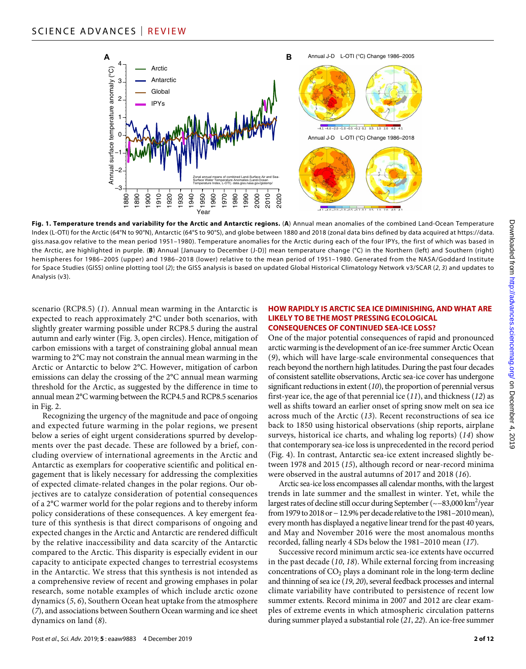

**Fig. 1. Temperature trends and variability for the Arctic and Antarctic regions.** (**A**) Annual mean anomalies of the combined Land-Ocean Temperature Index (L-OTI) for the Arctic (64°N to 90°N), Antarctic (64°S to 90°S), and globe between 1880 and 2018 (zonal data bins defined by data acquired at [https://data.](https://data.giss.nasa.gov) [giss.nasa.gov](https://data.giss.nasa.gov) relative to the mean period 1951–1980). Temperature anomalies for the Arctic during each of the four IPYs, the first of which was based in the Arctic, are highlighted in purple. (**B**) Annual [January to December (J-D)] mean temperature change (°C) in the Northern (left) and Southern (right) hemispheres for 1986–2005 (upper) and 1986–2018 (lower) relative to the mean period of 1951–1980. Generated from the NASA/Goddard Institute for Space Studies (GISS) online plotting tool (*2*); the GISS analysis is based on updated Global Historical Climatology Network v3/SCAR (*2*, *3*) and updates to Analysis (v3).

scenario (RCP8.5) (*1*). Annual mean warming in the Antarctic is expected to reach approximately 2°C under both scenarios, with slightly greater warming possible under RCP8.5 during the austral autumn and early winter (Fig. 3, open circles). Hence, mitigation of carbon emissions with a target of constraining global annual mean warming to 2°C may not constrain the annual mean warming in the Arctic or Antarctic to below 2°C. However, mitigation of carbon emissions can delay the crossing of the 2°C annual mean warming threshold for the Arctic, as suggested by the difference in time to annual mean 2°C warming between the RCP4.5 and RCP8.5 scenarios in Fig. 2.

Recognizing the urgency of the magnitude and pace of ongoing and expected future warming in the polar regions, we present below a series of eight urgent considerations spurred by developments over the past decade. These are followed by a brief, concluding overview of international agreements in the Arctic and Antarctic as exemplars for cooperative scientific and political engagement that is likely necessary for addressing the complexities of expected climate-related changes in the polar regions. Our objectives are to catalyze consideration of potential consequences of a 2°C warmer world for the polar regions and to thereby inform policy considerations of these consequences. A key emergent feature of this synthesis is that direct comparisons of ongoing and expected changes in the Arctic and Antarctic are rendered difficult by the relative inaccessibility and data scarcity of the Antarctic compared to the Arctic. This disparity is especially evident in our capacity to anticipate expected changes to terrestrial ecosystems in the Antarctic. We stress that this synthesis is not intended as a comprehensive review of recent and growing emphases in polar research, some notable examples of which include arctic ozone dynamics (*5*, *6*), Southern Ocean heat uptake from the atmosphere (*7*), and associations between Southern Ocean warming and ice sheet dynamics on land (*8*).

#### **HOW RAPIDLY IS ARCTIC SEA ICE DIMINISHING, AND WHAT ARE LIKELY TO BE THE MOST PRESSING ECOLOGICAL CONSEQUENCES OF CONTINUED SEA-ICE LOSS?**

One of the major potential consequences of rapid and pronounced arctic warming is the development of an ice-free summer Arctic Ocean (*9*), which will have large-scale environmental consequences that reach beyond the northern high latitudes. During the past four decades of consistent satellite observations, Arctic sea-ice cover has undergone significant reductions in extent (*10*), the proportion of perennial versus first-year ice, the age of that perennial ice (*11*), and thickness (*12*) as well as shifts toward an earlier onset of spring snow melt on sea ice across much of the Arctic (*13*). Recent reconstructions of sea ice back to 1850 using historical observations (ship reports, airplane surveys, historical ice charts, and whaling log reports) (*14*) show that contemporary sea-ice loss is unprecedented in the record period (Fig. 4). In contrast, Antarctic sea-ice extent increased slightly between 1978 and 2015 (*15*), although record or near-record minima were observed in the austral autumns of 2017 and 2018 (*16*).

Arctic sea-ice loss encompasses all calendar months, with the largest trends in late summer and the smallest in winter. Yet, while the largest rates of decline still occur during September (~ $-83,000\,\mathrm{km}^2/\mathrm{year}$ from 1979 to 2018 or − 12.9% per decade relative to the 1981–2010 mean), every month has displayed a negative linear trend for the past 40 years, and May and November 2016 were the most anomalous months recorded, falling nearly 4 SDs below the 1981–2010 mean (*17*).

Successive record minimum arctic sea-ice extents have occurred in the past decade (*10*, *18*). While external forcing from increasing concentrations of  $CO<sub>2</sub>$  plays a dominant role in the long-term decline and thinning of sea ice (*19*, *20*), several feedback processes and internal climate variability have contributed to persistence of recent low summer extents. Record minima in 2007 and 2012 are clear examples of extreme events in which atmospheric circulation patterns during summer played a substantial role (*21*, *22*). An ice-free summer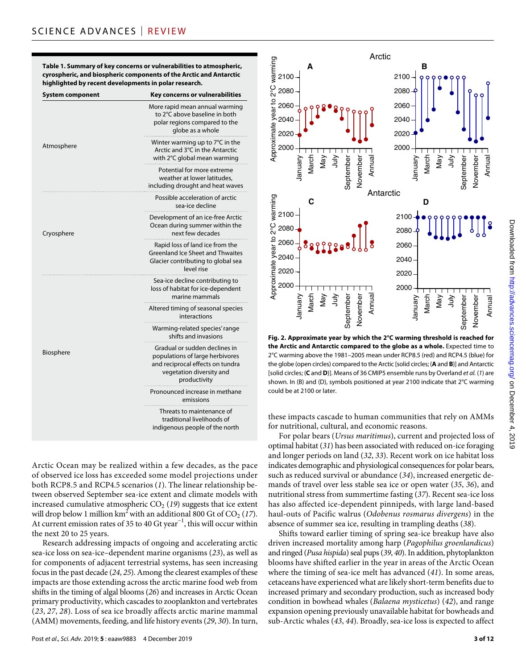**Table 1. Summary of key concerns or vulnerabilities to atmospheric, cyrospheric, and biospheric components of the Arctic and Antarctic highlighted by recent developments in polar research.**

| System component | Key concerns or vulnerabilities                                                                                                                  |
|------------------|--------------------------------------------------------------------------------------------------------------------------------------------------|
| Atmosphere       | More rapid mean annual warming<br>to 2°C above baseline in both<br>polar regions compared to the<br>globe as a whole                             |
|                  | Winter warming up to 7°C in the<br>Arctic and 3°C in the Antarctic<br>with 2°C global mean warming                                               |
|                  | Potential for more extreme<br>weather at lower latitudes.<br>including drought and heat waves                                                    |
| Cryosphere       | Possible acceleration of arctic<br>sea-ice decline                                                                                               |
|                  | Development of an ice-free Arctic<br>Ocean during summer within the<br>next few decades                                                          |
|                  | Rapid loss of land ice from the<br>Greenland Ice Sheet and Thwaites<br>Glacier contributing to global sea<br>level rise                          |
| Biosphere        | Sea-ice decline contributing to<br>loss of habitat for ice-dependent<br>marine mammals                                                           |
|                  | Altered timing of seasonal species<br>interactions                                                                                               |
|                  | Warming-related species' range<br>shifts and invasions                                                                                           |
|                  | Gradual or sudden declines in<br>populations of large herbivores<br>and reciprocal effects on tundra<br>vegetation diversity and<br>productivity |
|                  | Pronounced increase in methane<br>emissions                                                                                                      |
|                  | Threats to maintenance of<br>traditional livelihoods of<br>indigenous people of the north                                                        |

Arctic Ocean may be realized within a few decades, as the pace of observed ice loss has exceeded some model projections under both RCP8.5 and RCP4.5 scenarios (*1*). The linear relationship between observed September sea-ice extent and climate models with increased cumulative atmospheric  $CO<sub>2</sub>$  (19) suggests that ice extent will drop below 1 million  $km^2$  with an additional 800 Gt of CO<sub>2</sub> (17). At current emission rates of 35 to 40 Gt year<sup>-1</sup>, this will occur within the next 20 to 25 years.

Research addressing impacts of ongoing and accelerating arctic sea-ice loss on sea-ice–dependent marine organisms (*23*), as well as for components of adjacent terrestrial systems, has seen increasing focus in the past decade (*24*, *25*). Among the clearest examples of these impacts are those extending across the arctic marine food web from shifts in the timing of algal blooms (*26*) and increases in Arctic Ocean primary productivity, which cascades to zooplankton and vertebrates (*23*, *27*, *28*). Loss of sea ice broadly affects arctic marine mammal (AMM) movements, feeding, and life history events (*29*, *30*). In turn,



**Fig. 2. Approximate year by which the 2°C warming threshold is reached for the Arctic and Antarctic compared to the globe as a whole.** Expected time to 2°C warming above the 1981–2005 mean under RCP8.5 (red) and RCP4.5 (blue) for the globe (open circles) compared to the Arctic [solid circles; (**A** and **B**)] and Antarctic [solid circles; (**C** and **D**)]. Means of 36 CMIP5 ensemble runs by Overland *et al.* (*1*) are shown. In (B) and (D), symbols positioned at year 2100 indicate that 2°C warming could be at 2100 or later.

these impacts cascade to human communities that rely on AMMs for nutritional, cultural, and economic reasons.

For polar bears (*Ursus maritimus*), current and projected loss of optimal habitat (*31*) has been associated with reduced on-ice foraging and longer periods on land (*32*, *33*). Recent work on ice habitat loss indicates demographic and physiological consequences for polar bears, such as reduced survival or abundance (*34*), increased energetic demands of travel over less stable sea ice or open water (*35*, *36*), and nutritional stress from summertime fasting (*37*). Recent sea-ice loss has also affected ice-dependent pinnipeds, with large land-based haul-outs of Pacific walrus (*Odobenus rosmarus divergens*) in the absence of summer sea ice, resulting in trampling deaths (*38*).

Shifts toward earlier timing of spring sea-ice breakup have also driven increased mortality among harp (*Pagophilus groenlandicus*) and ringed (*Pusa hispida*) seal pups (*39*, *40*). In addition, phytoplankton blooms have shifted earlier in the year in areas of the Arctic Ocean where the timing of sea-ice melt has advanced (*41*). In some areas, cetaceans have experienced what are likely short-term benefits due to increased primary and secondary production, such as increased body condition in bowhead whales (*Balaena mysticetus*) (*42*), and range expansion opening previously unavailable habitat for bowheads and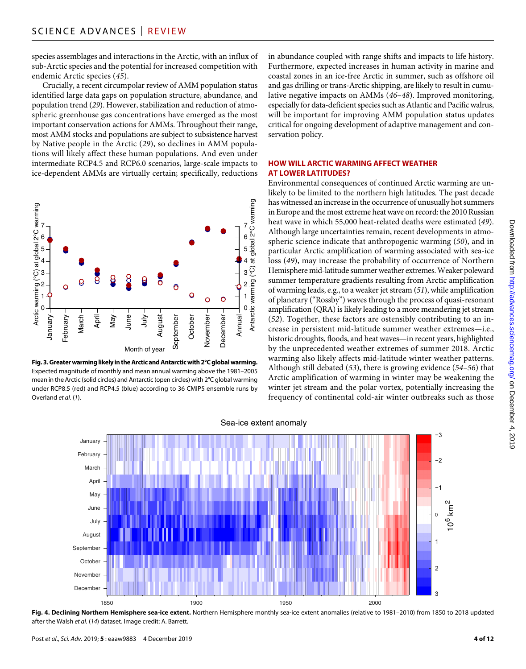species assemblages and interactions in the Arctic, with an influx of sub-Arctic species and the potential for increased competition with endemic Arctic species (*45*).

Crucially, a recent circumpolar review of AMM population status identified large data gaps on population structure, abundance, and population trend (*29*). However, stabilization and reduction of atmospheric greenhouse gas concentrations have emerged as the most important conservation actions for AMMs. Throughout their range, most AMM stocks and populations are subject to subsistence harvest by Native people in the Arctic (*29*), so declines in AMM populations will likely affect these human populations. And even under intermediate RCP4.5 and RCP6.0 scenarios, large-scale impacts to ice-dependent AMMs are virtually certain; specifically, reductions



**Fig. 3. Greater warming likely in the Arctic and Antarctic with 2°C global warming.** Expected magnitude of monthly and mean annual warming above the 1981–2005 mean in the Arctic (solid circles) and Antarctic (open circles) with 2°C global warming under RCP8.5 (red) and RCP4.5 (blue) according to 36 CMIP5 ensemble runs by Overland *et al.* (*1*).

in abundance coupled with range shifts and impacts to life history. Furthermore, expected increases in human activity in marine and coastal zones in an ice-free Arctic in summer, such as offshore oil and gas drilling or trans-Arctic shipping, are likely to result in cumulative negative impacts on AMMs (*46*–*48*). Improved monitoring, especially for data-deficient species such as Atlantic and Pacific walrus, will be important for improving AMM population status updates critical for ongoing development of adaptive management and conservation policy.

#### **HOW WILL ARCTIC WARMING AFFECT WEATHER AT LOWER LATITUDES?**

Environmental consequences of continued Arctic warming are unlikely to be limited to the northern high latitudes. The past decade has witnessed an increase in the occurrence of unusually hot summers in Europe and the most extreme heat wave on record: the 2010 Russian heat wave in which 55,000 heat-related deaths were estimated (*49*). Although large uncertainties remain, recent developments in atmospheric science indicate that anthropogenic warming (*50*), and in particular Arctic amplification of warming associated with sea-ice loss (*49*), may increase the probability of occurrence of Northern Hemisphere mid-latitude summer weather extremes. Weaker poleward summer temperature gradients resulting from Arctic amplification of warming leads, e.g., to a weaker jet stream (*51*), while amplification of planetary ("Rossby") waves through the process of quasi-resonant amplification (QRA) is likely leading to a more meandering jet stream (*52*). Together, these factors are ostensibly contributing to an increase in persistent mid-latitude summer weather extremes—i.e., historic droughts, floods, and heat waves—in recent years, highlighted by the unprecedented weather extremes of summer 2018. Arctic warming also likely affects mid-latitude winter weather patterns. Although still debated (*53*), there is growing evidence (*54*–*56*) that Arctic amplification of warming in winter may be weakening the winter jet stream and the polar vortex, potentially increasing the frequency of continental cold-air winter outbreaks such as those



Fig. 4. Declining Northern Hemisphere sea-ice extent. Northern Hemisphere monthly sea-ice extent anomalies (relative to 1981-2010) from 1850 to 2018 updated after the Walsh *et al.* (*14*) dataset. Image credit: A. Barrett.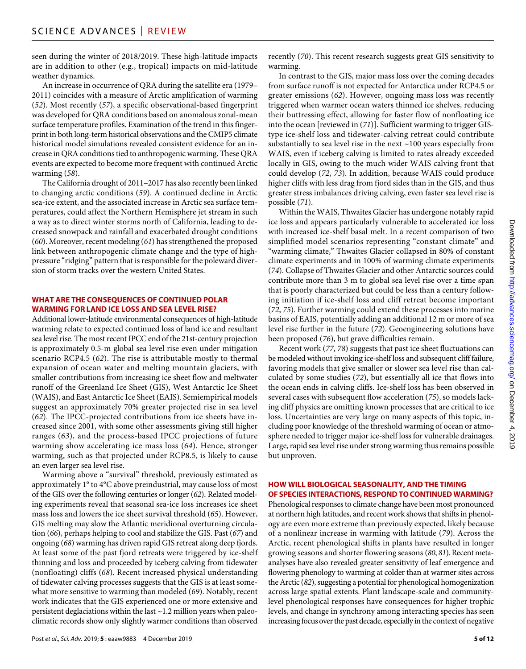seen during the winter of 2018/2019. These high-latitude impacts are in addition to other (e.g., tropical) impacts on mid-latitude weather dynamics.

An increase in occurrence of QRA during the satellite era (1979– 2011) coincides with a measure of Arctic amplification of warming (*52*). Most recently (*57*), a specific observational-based fingerprint was developed for QRA conditions based on anomalous zonal-mean surface temperature profiles. Examination of the trend in this fingerprint in both long-term historical observations and the CMIP5 climate historical model simulations revealed consistent evidence for an increase in QRA conditions tied to anthropogenic warming. These QRA events are expected to become more frequent with continued Arctic warming (*58*).

The California drought of 2011–2017 has also recently been linked to changing arctic conditions (*59*). A continued decline in Arctic sea-ice extent, and the associated increase in Arctic sea surface temperatures, could affect the Northern Hemisphere jet stream in such a way as to direct winter storms north of California, leading to decreased snowpack and rainfall and exacerbated drought conditions (*60*). Moreover, recent modeling (*61*) has strengthened the proposed link between anthropogenic climate change and the type of highpressure "ridging" pattern that is responsible for the poleward diversion of storm tracks over the western United States.

#### **WHAT ARE THE CONSEQUENCES OF CONTINUED POLAR WARMING FOR LAND ICE LOSS ANDSEA LEVEL RISE?**

Additional lower-latitude environmental consequences of high-latitude warming relate to expected continued loss of land ice and resultant sea level rise. The most recent IPCC end of the 21st-century projection is approximately 0.5-m global sea level rise even under mitigation scenario RCP4.5 (*62*). The rise is attributable mostly to thermal expansion of ocean water and melting mountain glaciers, with smaller contributions from increasing ice sheet flow and meltwater runoff of the Greenland Ice Sheet (GIS), West Antarctic Ice Sheet (WAIS), and East Antarctic Ice Sheet (EAIS). Semiempirical models suggest an approximately 70% greater projected rise in sea level (*62*). The IPCC-projected contributions from ice sheets have increased since 2001, with some other assessments giving still higher ranges (*63*), and the process-based IPCC projections of future warming show accelerating ice mass loss (*64*). Hence, stronger warming, such as that projected under RCP8.5, is likely to cause an even larger sea level rise.

Warming above a "survival" threshold, previously estimated as approximately 1° to 4°C above preindustrial, may cause loss of most of the GIS over the following centuries or longer (*62*). Related modeling experiments reveal that seasonal sea-ice loss increases ice sheet mass loss and lowers the ice sheet survival threshold (*65*). However, GIS melting may slow the Atlantic meridional overturning circulation (*66*), perhaps helping to cool and stabilize the GIS. Past (*67*) and ongoing (*68*) warming has driven rapid GIS retreat along deep fjords. At least some of the past fjord retreats were triggered by ice-shelf thinning and loss and proceeded by iceberg calving from tidewater (nonfloating) cliffs (*68*). Recent increased physical understanding of tidewater calving processes suggests that the GIS is at least somewhat more sensitive to warming than modeled (*69*). Notably, recent work indicates that the GIS experienced one or more extensive and persistent deglaciations within the last ~1.2 million years when paleoclimatic records show only slightly warmer conditions than observed

recently (*70*). This recent research suggests great GIS sensitivity to warming.

In contrast to the GIS, major mass loss over the coming decades from surface runoff is not expected for Antarctica under RCP4.5 or greater emissions (*62*). However, ongoing mass loss was recently triggered when warmer ocean waters thinned ice shelves, reducing their buttressing effect, allowing for faster flow of nonfloating ice into the ocean [reviewed in (*71*)]. Sufficient warming to trigger GIStype ice-shelf loss and tidewater-calving retreat could contribute substantially to sea level rise in the next  $\sim$ 100 years especially from WAIS, even if iceberg calving is limited to rates already exceeded locally in GIS, owing to the much wider WAIS calving front that could develop (*72*, *73*). In addition, because WAIS could produce higher cliffs with less drag from fjord sides than in the GIS, and thus greater stress imbalances driving calving, even faster sea level rise is possible (*71*).

Within the WAIS, Thwaites Glacier has undergone notably rapid ice loss and appears particularly vulnerable to accelerated ice loss with increased ice-shelf basal melt. In a recent comparison of two simplified model scenarios representing "constant climate" and "warming climate," Thwaites Glacier collapsed in 80% of constant climate experiments and in 100% of warming climate experiments (*74*). Collapse of Thwaites Glacier and other Antarctic sources could contribute more than 3 m to global sea level rise over a time span that is poorly characterized but could be less than a century following initiation if ice-shelf loss and cliff retreat become important (*72*, *75*). Further warming could extend these processes into marine basins of EAIS, potentially adding an additional 12 m or more of sea level rise further in the future (*72*). Geoengineering solutions have been proposed (*76*), but grave difficulties remain.

Recent work (*77*, *78*) suggests that past ice sheet fluctuations can be modeled without invoking ice-shelf loss and subsequent cliff failure, favoring models that give smaller or slower sea level rise than calculated by some studies (*72*), but essentially all ice that flows into the ocean ends in calving cliffs. Ice-shelf loss has been observed in several cases with subsequent flow acceleration (*75*), so models lacking cliff physics are omitting known processes that are critical to ice loss. Uncertainties are very large on many aspects of this topic, including poor knowledge of the threshold warming of ocean or atmosphere needed to trigger major ice-shelf loss for vulnerable drainages. Large, rapid sea level rise under strong warming thus remains possible but unproven.

### **HOW WILL BIOLOGICAL SEASONALITY, ANDTHE TIMING OF SPECIES INTERACTIONS, RESPOND TOCONTINUED WARMING?**

Phenological responses to climate change have been most pronounced at northern high latitudes, and recent work shows that shifts in phenology are even more extreme than previously expected, likely because of a nonlinear increase in warming with latitude (*79*). Across the Arctic, recent phenological shifts in plants have resulted in longer growing seasons and shorter flowering seasons (*80*, *81*). Recent metaanalyses have also revealed greater sensitivity of leaf emergence and flowering phenology to warming at colder than at warmer sites across the Arctic (*82*), suggesting a potential for phenological homogenization across large spatial extents. Plant landscape-scale and communitylevel phenological responses have consequences for higher trophic levels, and change in synchrony among interacting species has seen increasing focus over the past decade, especially in the context of negative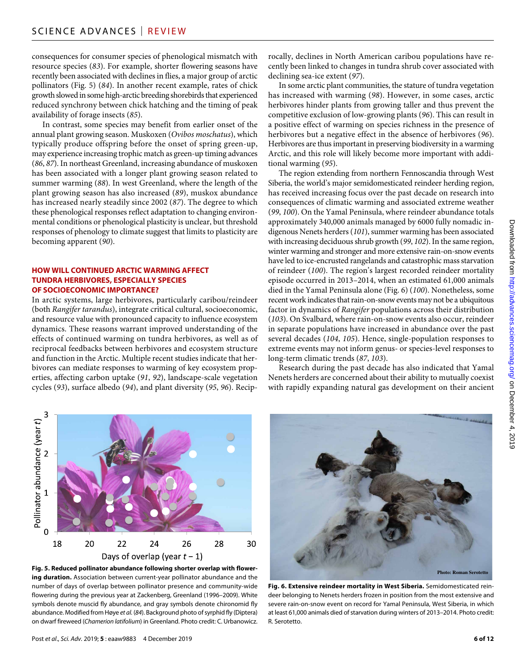consequences for consumer species of phenological mismatch with resource species (*83*). For example, shorter flowering seasons have recently been associated with declines in flies, a major group of arctic pollinators (Fig. 5) (*84*). In another recent example, rates of chick growth slowed in some high-arctic breeding shorebirds that experienced reduced synchrony between chick hatching and the timing of peak availability of forage insects (*85*).

In contrast, some species may benefit from earlier onset of the annual plant growing season. Muskoxen (*Ovibos moschatus*), which typically produce offspring before the onset of spring green-up, may experience increasing trophic match as green-up timing advances (*86*, *87*). In northeast Greenland, increasing abundance of muskoxen has been associated with a longer plant growing season related to summer warming (*88*). In west Greenland, where the length of the plant growing season has also increased (*89*), muskox abundance has increased nearly steadily since 2002 (*87*). The degree to which these phenological responses reflect adaptation to changing environmental conditions or phenological plasticity is unclear, but threshold responses of phenology to climate suggest that limits to plasticity are becoming apparent (*90*).

#### **HOW WILL CONTINUED ARCTIC WARMING AFFECT TUNDRA HERBIVORES, ESPECIALLY SPECIES OF SOCIOECONOMIC IMPORTANCE?**

In arctic systems, large herbivores, particularly caribou/reindeer (both *Rangifer tarandus*), integrate critical cultural, socioeconomic, and resource value with pronounced capacity to influence ecosystem dynamics. These reasons warrant improved understanding of the effects of continued warming on tundra herbivores, as well as of reciprocal feedbacks between herbivores and ecosystem structure and function in the Arctic. Multiple recent studies indicate that herbivores can mediate responses to warming of key ecosystem properties, affecting carbon uptake (*91*, *92*), landscape-scale vegetation cycles (*93*), surface albedo (*94*), and plant diversity (*95*, *96*). Reciprocally, declines in North American caribou populations have recently been linked to changes in tundra shrub cover associated with declining sea-ice extent (*97*).

In some arctic plant communities, the stature of tundra vegetation has increased with warming (*98*). However, in some cases, arctic herbivores hinder plants from growing taller and thus prevent the competitive exclusion of low-growing plants (*96*). This can result in a positive effect of warming on species richness in the presence of herbivores but a negative effect in the absence of herbivores (*96*). Herbivores are thus important in preserving biodiversity in a warming Arctic, and this role will likely become more important with additional warming (*95*).

The region extending from northern Fennoscandia through West Siberia, the world's major semidomesticated reindeer herding region, has received increasing focus over the past decade on research into consequences of climatic warming and associated extreme weather (*99*, *100*). On the Yamal Peninsula, where reindeer abundance totals approximately 340,000 animals managed by 6000 fully nomadic indigenous Nenets herders (*101*), summer warming has been associated with increasing deciduous shrub growth (*99*, *102*). In the same region, winter warming and stronger and more extensive rain-on-snow events have led to ice-encrusted rangelands and catastrophic mass starvation of reindeer (*100*). The region's largest recorded reindeer mortality episode occurred in 2013–2014, when an estimated 61,000 animals died in the Yamal Peninsula alone (Fig. 6) (*100*). Nonetheless, some recent work indicates that rain-on-snow events may not be a ubiquitous factor in dynamics of *Rangifer* populations across their distribution (*103*). On Svalbard, where rain-on-snow events also occur, reindeer in separate populations have increased in abundance over the past several decades (*104*, *105*). Hence, single-population responses to extreme events may not inform genus- or species-level responses to long-term climatic trends (*87*, *103*).

Research during the past decade has also indicated that Yamal Nenets herders are concerned about their ability to mutually coexist with rapidly expanding natural gas development on their ancient



**Fig. 5. Reduced pollinator abundance following shorter overlap with flowering duration.** Association between current-year pollinator abundance and the number of days of overlap between pollinator presence and community-wide flowering during the previous year at Zackenberg, Greenland (1996–2009). White symbols denote muscid fly abundance, and gray symbols denote chironomid fly abundance. Modified from Høye *et al.* (*84*). Background photo of syrphid fly (Diptera) on dwarf fireweed (*Chamerion latifolium*) in Greenland. Photo credit: C. Urbanowicz.



**Fig. 6. Extensive reindeer mortality in West Siberia.** Semidomesticated reindeer belonging to Nenets herders frozen in position from the most extensive and severe rain-on-snow event on record for Yamal Peninsula, West Siberia, in which at least 61,000 animals died of starvation during winters of 2013–2014. Photo credit: R. Serotetto.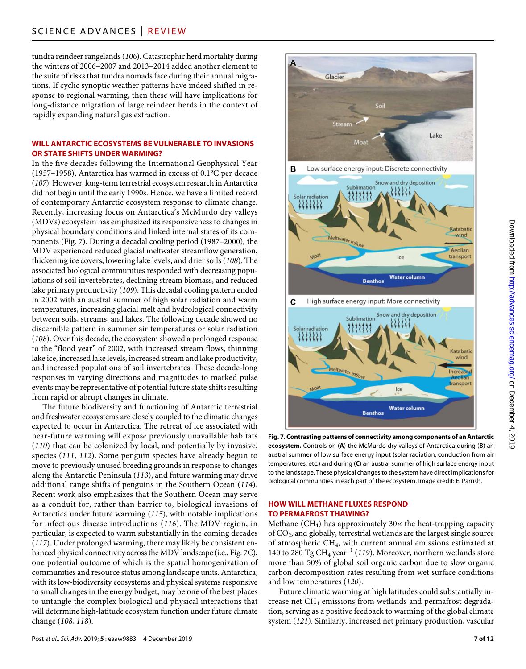tundra reindeer rangelands (*106*). Catastrophic herd mortality during the winters of 2006–2007 and 2013–2014 added another element to the suite of risks that tundra nomads face during their annual migrations. If cyclic synoptic weather patterns have indeed shifted in response to regional warming, then these will have implications for long-distance migration of large reindeer herds in the context of rapidly expanding natural gas extraction.

#### **WILL ANTARCTIC ECOSYSTEMS BE VULNERABLE TO INVASIONS OR STATE SHIFTS UNDER WARMING?**

In the five decades following the International Geophysical Year (1957–1958), Antarctica has warmed in excess of 0.1°C per decade (*107*). However, long-term terrestrial ecosystem research in Antarctica did not begin until the early 1990s. Hence, we have a limited record of contemporary Antarctic ecosystem response to climate change. Recently, increasing focus on Antarctica's McMurdo dry valleys (MDVs) ecosystem has emphasized its responsiveness to changes in physical boundary conditions and linked internal states of its components (Fig. 7). During a decadal cooling period (1987–2000), the MDV experienced reduced glacial meltwater streamflow generation, thickening ice covers, lowering lake levels, and drier soils (*108*). The associated biological communities responded with decreasing populations of soil invertebrates, declining stream biomass, and reduced lake primary productivity (*109*). This decadal cooling pattern ended in 2002 with an austral summer of high solar radiation and warm temperatures, increasing glacial melt and hydrological connectivity between soils, streams, and lakes. The following decade showed no discernible pattern in summer air temperatures or solar radiation (*108*). Over this decade, the ecosystem showed a prolonged response to the "flood year" of 2002, with increased stream flows, thinning lake ice, increased lake levels, increased stream and lake productivity, and increased populations of soil invertebrates. These decade-long responses in varying directions and magnitudes to marked pulse events may be representative of potential future state shifts resulting from rapid or abrupt changes in climate.

The future biodiversity and functioning of Antarctic terrestrial and freshwater ecosystems are closely coupled to the climatic changes expected to occur in Antarctica. The retreat of ice associated with near-future warming will expose previously unavailable habitats (*110*) that can be colonized by local, and potentially by invasive, species (*111*, *112*). Some penguin species have already begun to move to previously unused breeding grounds in response to changes along the Antarctic Peninsula (*113*), and future warming may drive additional range shifts of penguins in the Southern Ocean (*114*). Recent work also emphasizes that the Southern Ocean may serve as a conduit for, rather than barrier to, biological invasions of Antarctica under future warming (*115*), with notable implications for infectious disease introductions (*116*). The MDV region, in particular, is expected to warm substantially in the coming decades (*117*). Under prolonged warming, there may likely be consistent enhanced physical connectivity across the MDV landscape (i.e., Fig. 7C), one potential outcome of which is the spatial homogenization of communities and resource status among landscape units. Antarctica, with its low-biodiversity ecosystems and physical systems responsive to small changes in the energy budget, may be one of the best places to untangle the complex biological and physical interactions that will determine high-latitude ecosystem function under future climate change (*108*, *118*).



**Fig. 7. Contrasting patterns of connectivity among components of an Antarctic ecosystem.** Controls on (**A**) the McMurdo dry valleys of Antarctica during (**B**) an austral summer of low surface energy input (solar radiation, conduction from air temperatures, etc.) and during (**C**) an austral summer of high surface energy input to the landscape. These physical changes to the system have direct implications for biological communities in each part of the ecosystem. Image credit: E. Parrish.

#### **HOW WILL METHANE FLUXES RESPOND TO PERMAFROST THAWING?**

Methane  $(CH<sub>4</sub>)$  has approximately 30 $\times$  the heat-trapping capacity of CO2, and globally, terrestrial wetlands are the largest single source of atmospheric CH4, with current annual emissions estimated at 140 to 280 Tg CH4 year−1 (*119*). Moreover, northern wetlands store more than 50% of global soil organic carbon due to slow organic carbon decomposition rates resulting from wet surface conditions and low temperatures (*120*).

Future climatic warming at high latitudes could substantially increase net CH4 emissions from wetlands and permafrost degradation, serving as a positive feedback to warming of the global climate system (*121*). Similarly, increased net primary production, vascular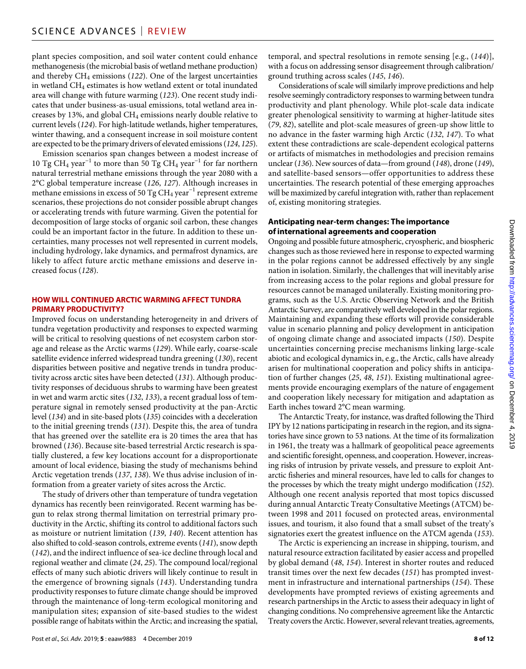plant species composition, and soil water content could enhance methanogenesis (the microbial basis of wetland methane production) and thereby CH4 emissions (*122*). One of the largest uncertainties in wetland CH4 estimates is how wetland extent or total inundated area will change with future warming (*123*). One recent study indicates that under business-as-usual emissions, total wetland area increases by 13%, and global  $CH_4$  emissions nearly double relative to current levels (*124*). For high-latitude wetlands, higher temperatures, winter thawing, and a consequent increase in soil moisture content are expected to be the primary drivers of elevated emissions (*124*, *125*).

Emission scenarios span changes between a modest increase of 10 Tg CH<sub>4</sub> year<sup>-1</sup> to more than 50 Tg CH<sub>4</sub> year<sup>-1</sup> for far northern natural terrestrial methane emissions through the year 2080 with a 2°C global temperature increase (*126*, *127*). Although increases in methane emissions in excess of 50 Tg CH<sub>4</sub> year<sup>-1</sup> represent extreme scenarios, these projections do not consider possible abrupt changes or accelerating trends with future warming. Given the potential for decomposition of large stocks of organic soil carbon, these changes could be an important factor in the future. In addition to these uncertainties, many processes not well represented in current models, including hydrology, lake dynamics, and permafrost dynamics, are likely to affect future arctic methane emissions and deserve increased focus (*128*).

#### **HOW WILL CONTINUED ARCTIC WARMING AFFECT TUNDRA PRIMARY PRODUCTIVITY?**

Improved focus on understanding heterogeneity in and drivers of tundra vegetation productivity and responses to expected warming will be critical to resolving questions of net ecosystem carbon storage and release as the Arctic warms (*129*). While early, coarse-scale satellite evidence inferred widespread tundra greening (*130*), recent disparities between positive and negative trends in tundra productivity across arctic sites have been detected (*131*). Although productivity responses of deciduous shrubs to warming have been greatest in wet and warm arctic sites (*132*, *133*), a recent gradual loss of temperature signal in remotely sensed productivity at the pan-Arctic level (*134*) and in site-based plots (*135*) coincides with a deceleration to the initial greening trends (*131*). Despite this, the area of tundra that has greened over the satellite era is 20 times the area that has browned (*136*). Because site-based terrestrial Arctic research is spatially clustered, a few key locations account for a disproportionate amount of local evidence, biasing the study of mechanisms behind Arctic vegetation trends (*137*, *138*). We thus advise inclusion of information from a greater variety of sites across the Arctic.

The study of drivers other than temperature of tundra vegetation dynamics has recently been reinvigorated. Recent warming has begun to relax strong thermal limitation on terrestrial primary productivity in the Arctic, shifting its control to additional factors such as moisture or nutrient limitation (*139*, *140*). Recent attention has also shifted to cold-season controls, extreme events (*141*), snow depth (*142*), and the indirect influence of sea-ice decline through local and regional weather and climate (*24*, *25*). The compound local/regional effects of many such abiotic drivers will likely continue to result in the emergence of browning signals (*143*). Understanding tundra productivity responses to future climate change should be improved through the maintenance of long-term ecological monitoring and manipulation sites; expansion of site-based studies to the widest possible range of habitats within the Arctic; and increasing the spatial,

temporal, and spectral resolutions in remote sensing [e.g., (*144*)], with a focus on addressing sensor disagreement through calibration/ ground truthing across scales (*145*, *146*).

Considerations of scale will similarly improve predictions and help resolve seemingly contradictory responses to warming between tundra productivity and plant phenology. While plot-scale data indicate greater phenological sensitivity to warming at higher-latitude sites (*79*, *82*), satellite and plot-scale measures of green-up show little to no advance in the faster warming high Arctic (*132*, *147*). To what extent these contradictions are scale-dependent ecological patterns or artifacts of mismatches in methodologies and precision remains unclear (*136*). New sources of data—from ground (*148*), drone (*149*), and satellite-based sensors—offer opportunities to address these uncertainties. The research potential of these emerging approaches will be maximized by careful integration with, rather than replacement of, existing monitoring strategies.

## **Anticipating near-term changes: The importance ofinternational agreements and cooperation**

Ongoing and possible future atmospheric, cryospheric, and biospheric changes such as those reviewed here in response to expected warming in the polar regions cannot be addressed effectively by any single nation in isolation. Similarly, the challenges that will inevitably arise from increasing access to the polar regions and global pressure for resources cannot be managed unilaterally. Existing monitoring programs, such as the U.S. Arctic Observing Network and the British Antarctic Survey, are comparatively well developed in the polar regions. Maintaining and expanding these efforts will provide considerable value in scenario planning and policy development in anticipation of ongoing climate change and associated impacts (*150*). Despite uncertainties concerning precise mechanisms linking large-scale abiotic and ecological dynamics in, e.g., the Arctic, calls have already arisen for multinational cooperation and policy shifts in anticipation of further changes (*25*, *48*, *151*). Existing multinational agreements provide encouraging exemplars of the nature of engagement and cooperation likely necessary for mitigation and adaptation as Earth inches toward 2°C mean warming.

The Antarctic Treaty, for instance, was drafted following the Third IPY by 12 nations participating in research in the region, and its signatories have since grown to 53 nations. At the time of its formalization in 1961, the treaty was a hallmark of geopolitical peace agreements and scientific foresight, openness, and cooperation. However, increasing risks of intrusion by private vessels, and pressure to exploit Antarctic fisheries and mineral resources, have led to calls for changes to the processes by which the treaty might undergo modification (*152*). Although one recent analysis reported that most topics discussed during annual Antarctic Treaty Consultative Meetings (ATCM) between 1998 and 2011 focused on protected areas, environmental issues, and tourism, it also found that a small subset of the treaty's signatories exert the greatest influence on the ATCM agenda (*153*).

The Arctic is experiencing an increase in shipping, tourism, and natural resource extraction facilitated by easier access and propelled by global demand (*48*, *154*). Interest in shorter routes and reduced transit times over the next few decades (*151*) has prompted investment in infrastructure and international partnerships (*154*). These developments have prompted reviews of existing agreements and research partnerships in the Arctic to assess their adequacy in light of changing conditions. No comprehensive agreement like the Antarctic Treaty covers the Arctic. However, several relevant treaties, agreements,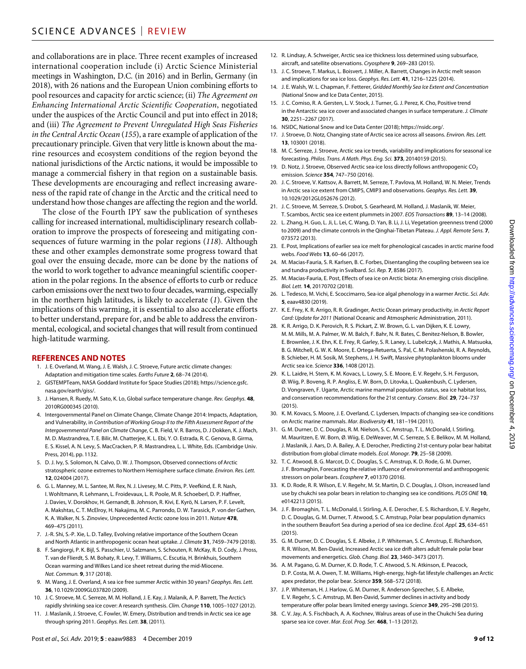and collaborations are in place. Three recent examples of increased international cooperation include (i) Arctic Science Ministerial meetings in Washington, D.C. (in 2016) and in Berlin, Germany (in 2018), with 26 nations and the European Union combining efforts to pool resources and capacity for arctic science; (ii) *The Agreement on Enhancing International Arctic Scientific Cooperation*, negotiated under the auspices of the Arctic Council and put into effect in 2018; and (iii) *The Agreement to Prevent Unregulated High Seas Fisheries in the Central Arctic Ocean* (*155*), a rare example of application of the precautionary principle. Given that very little is known about the marine resources and ecosystem conditions of the region beyond the national jurisdictions of the Arctic nations, it would be impossible to manage a commercial fishery in that region on a sustainable basis. These developments are encouraging and reflect increasing awareness of the rapid rate of change in the Arctic and the critical need to understand how those changes are affecting the region and the world.

The close of the Fourth IPY saw the publication of syntheses calling for increased international, multidisciplinary research collaboration to improve the prospects of foreseeing and mitigating consequences of future warming in the polar regions (*118*). Although these and other examples demonstrate some progress toward that goal over the ensuing decade, more can be done by the nations of the world to work together to advance meaningful scientific cooperation in the polar regions. In the absence of efforts to curb or reduce carbon emissions over the next two to four decades, warming, especially in the northern high latitudes, is likely to accelerate (*1*). Given the implications of this warming, it is essential to also accelerate efforts to better understand, prepare for, and be able to address the environmental, ecological, and societal changes that will result from continued high-latitude warming.

### **REFERENCES AND NOTES**

- 1. J. E. Overland, M. Wang, J. E. Walsh, J. C. Stroeve, Future arctic climate changes: Adaptation and mitigation time scales. *Earths Future* **2**, 68–74 (2014).
- 2. GISTEMPTeam, NASA Goddard Institute for Space Studies (2018); [https://science.gsfc.](https://science.gsfc.nasa.gov/earth/giss/) [nasa.gov/earth/giss/](https://science.gsfc.nasa.gov/earth/giss/).
- 3. J. Hansen, R. Ruedy, M. Sato, K. Lo, Global surface temperature change. *Rev. Geophys.* **48**, 2010RG000345 (2010).
- 4. Intergovernmental Panel on Climate Change, Climate Change 2014: Impacts, Adaptation, and Vulnerability, in *Contribution of Working Group II to the Fifth Assessment Report of the Intergovernmental Panel on Climate Change*, C. B. Field, V. R. Barros, D. J Dokken, K. J. Mach, M. D. Mastrandrea, T. E. Bilir, M. Chatterjee, K. L. Ebi, Y. O. Estrada, R. C. Genova, B. Girma, E. S. Kissel, A. N. Levy, S. MacCracken, P. R. Mastrandrea, L. L. White, Eds. (Cambridge Univ. Press, 2014), pp. 1132.
- 5. D. J. Ivy, S. Solomon, N. Calvo, D. W. J. Thompson, Observed connections of Arctic stratospheric ozone extremes to Northern Hemisphere surface climate. *Environ. Res. Lett.* **12**, 024004 (2017).
- 6. G. L. Manney, M. L. Santee, M. Rex, N. J. Livesey, M. C. Pitts, P. Veefkind, E. R. Nash, I. Wohltmann, R. Lehmann, L. Froidevaux, L. R. Poole, M. R. Schoeberl, D. P. Haffner, J. Davies, V. Dorokhov, H. Gernandt, B. Johnson, R. Kivi, E. Kyrö, N. Larsen, P. F. Levelt, A. Makshtas, C. T. McElroy, H. Nakajima, M. C. Parrondo, D. W. Tarasick, P. von der Gathen, K. A. Walker, N. S. Zinoviev, Unprecedented Arctic ozone loss in 2011. *Nature* **478**, 469–475 (2011).
- 7. J.-R. Shi, S.-P. Xie, L. D. Talley, Evolving relative importance of the Southern Ocean and North Atlantic in anthropogenic ocean heat uptake. *J. Climate* **31**, 7459–7479 (2018).
- 8. F. Sangiorgi, P. K. Bijl, S. Passchier, U. Salzmann, S. Schouten, R. McKay, R. D. Cody, J. Pross, T. van de Flierdt, S. M. Bohaty, R. Levy, T. Williams, C. Escutia, H. Brinkhuis, Southern Ocean warming and Wilkes Land ice sheet retreat during the mid-Miocene. *Nat. Commun.* **9**, 317 (2018).
- 9. M. Wang, J. E. Overland, A sea ice free summer Arctic within 30 years? *Geophys. Res. Lett.* **36**, 10.1029/2009GL037820 (2009).
- 10. J. C. Stroeve, M. C. Serreze, M. M. Holland, J. E. Kay, J. Malanik, A. P. Barrett, The Arctic's rapidly shrinking sea ice cover: A research synthesis. *Clim. Change* **110**, 1005–1027 (2012).
- 11. J. Maslanik, J. Stroeve, C. Fowler, W. Emery, Distribution and trends in Arctic sea ice age through spring 2011. *Geophys. Res. Lett.* **38**, (2011).
- 12. R. Lindsay, A. Schweiger, Arctic sea ice thickness loss determined using subsurface, aircraft, and satellite observations. *Cryosphere* **9**, 269–283 (2015).
- 13. J. C. Stroeve, T. Markus, L. Boisvert, J. Miller, A. Barrett, Changes in Arctic melt season and implications forsea ice loss. *Geophys. Res. Lett.* **41**, 1216–1225 (2014).
- 14. J. E. Walsh, W. L. Chapman, F. Fetterer, *Gridded Monthly Sea Ice Extent and Concentration* (National Snow and Ice Data Center, 2015).
- 15. J. C. Comiso, R. A. Gersten, L. V. Stock, J. Turner, G. J. Perez, K. Cho, Positive trend in the Antarctic sea ice cover and associated changes in surface temperature. *J. Climate* **30**, 2251–2267 (2017).
- 16. NSIDC, National Snow and Ice Data Center (2018);<https://nsidc.org/>.
- 17. J. Stroeve, D. Notz, Changing state of Arctic sea ice across all seasons. *Environ. Res. Lett.* **13**, 103001 (2018).
- 18. M. C. Serreze, J. Stroeve, Arctic sea ice trends, variability and implications for seasonal ice forecasting. *Philos. Trans. A Math. Phys. Eng. Sci.* **373**, 20140159 (2015).
- 19. D. Notz, J. Stroeve, Observed Arctic sea-ice loss directly follows anthropogenic CO<sub>2</sub> emission. *Science* **354**, 747–750 (2016).
- 20. J. C. Stroeve, V. Kattsov, A. Barrett, M. Serreze, T. Pavlova, M. Holland, W. N. Meier, Trends in Arctic sea ice extent from CMIP5, CMIP3 and observations. *Geophys. Res. Lett.* **39**, 10.1029/2012GL052676 (2012).
- 21. J. C. Stroeve, M. Serreze, S. Drobot, S. Gearheard, M. Holland, J. Maslanik, W. Meier, T. Scambos, Arctic sea ice extent plummets in 2007. *EOS Transactions* **89**, 13–14 (2008).
- 22. L. Zhang, H. Guo, L. Ji, L. Lei, C. Wang, D. Yan, B. Li, J. Li, Vegetation greenness trend (2000 to 2009) and the climate controls in theQinghai-Tibetan Plateau. *J. Appl. Remote Sens.* **7**, 073572 (2013).
- 23. E. Post, Implications of earlier sea ice melt for phenological cascades in arctic marine food webs. *Food Webs* **13**, 60–66 (2017).
- 24. M. Macias-Fauria, S. R. Karlsen, B. C. Forbes, Disentangling the coupling between sea ice and tundra productivity in Svalbard. *Sci. Rep.* **7**, 8586 (2017).
- 25. M. Macias-Fauria, E. Post, Effects ofsea ice on Arctic biota: An emerging crisis discipline. *Biol. Lett.* **14**, 20170702 (2018).
- 26. L. Tedesco, M. Vichi, E. Scoccimarro, Sea-ice algal phenology in a warmer Arctic. *Sci. Adv.* **5**, eaav4830 (2019).
- 27. K. E. Frey, K. R. Arrigo, R. R. Gradinger, Arctic Ocean primary productivity, in *Arctic Report Card: Update for 2011* (National Oceanic and Atmospheric Administration, 2011).
- 28. K. R. Arrigo, D. K. Perovich, R. S. Pickart, Z. W. Brown, G. L. vanDijken, K. E. Lowry, M. M. Mills, M. A. Palmer, W. M. Balch, F. Bahr, N. R. Bates, C. Benitez-Nelson, B. Bowler, E. Brownlee, J. K. Ehn, K. E. Frey, R. Garley, S. R. Laney, L. Lubelczyk, J. Mathis, A. Matsuoka, B. G. Mitchell, G. W. K. Moore, E. Ortega-Retuerta, S. Pal, C. M. Polashenski, R. A. Reynolds, B. Schieber, H. M. Sosik, M. Stephens, J. H. Swift, Massive phytoplankton blooms under Arctic sea ice. *Science* **336**, 1408 (2012).
- 29. K. L. Laidre, H. Stern, K. M. Kovacs, L. Lowry, S. E. Moore, E. V. Regehr, S. H. Ferguson, Ø. Wiig, P. Boveng, R. P. Angliss, E. W. Born, D. Litovka, L. Quakenbush, C. Lydersen, D. Vongraven, F. Ugarte, Arctic marine mammal population status, sea ice habitat loss, and conservation recommendations for the 21st century. *Conserv. Biol.* **29**, 724–737 (2015).
- 30. K. M. Kovacs, S. Moore, J. E. Overland, C. Lydersen, Impacts of changing sea-ice conditions on Arctic marine mammals. *Mar. Biodiversity* **41**, 181–194 (2011).
- 31. G. M. Durner, D. C. Douglas, R. M. Nielson, S. C. Amstrup, T. L. McDonald, I. Stirling, M. Mauritzen, E. W. Born, Ø. Wiig, E. DeWeaver, M. C. Serreze, S. E. Belikov, M. M. Holland, J. Maslanik, J. Aars, D. A. Bailey, A. E. Derocher, Predicting 21st-century polar bear habitat distribution from global climate models. *Ecol. Monogr.* **79**, 25–58 (2009).
- 32. T. C. Atwood, B. G. Marcot, D. C. Douglas, S. C. Amstrup, K. D. Rode, G. M. Durner, J. F. Bromaghin, Forecasting the relative influence of environmental and anthropogenic stressors on polar bears. *Ecosphere* **7**, e01370 (2016).
- 33. K. D. Rode, R. R. Wilson, E. V. Regehr, M. St. Martin, D. C. Douglas, J. Olson, increased land use by chukchi sea polar bears in relation to changing sea ice conditions. *PLOS ONE* **10**, e0142213 (2015).
- 34. J. F. Bromaghin, T. L. McDonald, I. Stirling, A. E. Derocher, E. S. Richardson, E. V. Regehr, D. C. Douglas, G. M. Durner, T. Atwood, S. C. Amstrup, Polar bear population dynamics in the southern Beaufort Sea during a period ofsea ice decline. *Ecol. Appl.* **25**, 634–651 (2015).
- 35. G. M. Durner, D. C. Douglas, S. E. Albeke, J. P. Whiteman, S. C. Amstrup, E. Richardson, R. R. Wilson, M. Ben-David, Increased Arctic sea ice drift alters adult female polar bear movements and energetics. *Glob. Chang. Biol.* **23**, 3460–3473 (2017).
- 36. A. M. Pagano, G. M. Durner, K. D. Rode, T. C. Atwood, S. N. Atkinson, E. Peacock, D. P. Costa, M. A. Owen, T. M. Williams, High-energy, high-fat lifestyle challenges an Arctic apex predator, the polar bear. *Science* **359**, 568–572 (2018).
- 37. J. P. Whiteman, H. J. Harlow, G. M. Durner, R. Anderson-Sprecher, S. E. Albeke, E. V. Regehr, S. C. Amstrup, M. Ben-David, Summer declines in activity and body temperature offer polar bears limited energy savings. *Science* **349**, 295–298 (2015).
- 38. C. V. Jay, A. S. Fischbach, A. A. Kochnev, Walrus areas of use in the Chukchi Sea during sparse sea ice cover. *Mar. Ecol. Prog. Ser.* **468**, 1–13 (2012).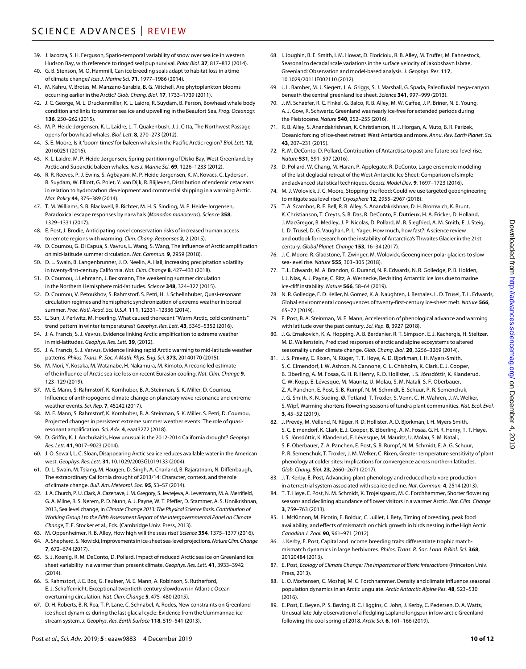- 39. J. Iacozza, S. H. Ferguson, Spatio-temporal variability ofsnow over sea ice in western Hudson Bay, with reference to ringed seal pup survival. *Polar Biol.* **37**, 817–832 (2014).
- 40. G. B. Stenson, M. O. Hammill, Can ice breeding seals adapt to habitat loss in a time of climate change? *Ices J. Marine Sci.* **71**, 1977–1986 (2014).
- 41. M. Kahru, V. Brotas, M. Manzano-Sarabia, B. G. Mitchell, Are phytoplankton blooms occurring earlier in the Arctic? *Glob. Chang. Biol.* **17**, 1733–1739 (2011).
- 42. J. C. George, M. L. Druckenmiller, K. L. Laidre, R. Suydam, B. Person, Bowhead whale body condition and links to summer sea ice and upwelling in the Beaufort Sea. *Prog. Oceanogr.* **136**, 250–262 (2015).
- 43. M. P. Heide-Jørgensen, K. L. Laidre, L. T. Quakenbush, J. J. Citta, The Northwest Passage opens for bowhead whales. *Biol. Lett.* **8**, 270–273 (2012).
- 44. S. E. Moore, Is it 'boom times' for baleen whales in the Pacific Arctic region? *Biol. Lett.* **12**, 20160251 (2016).
- 45. K. L. Laidre, M. P. Heide-Jørgensen, Spring partitioning of Disko Bay, West Greenland, by Arctic and Subarctic baleen whales. *Ices J. Marine Sci.* **69**, 1226–1233 (2012).
- 46. R. R. Reeves, P. J. Ewins, S. Agbayani, M. P. Heide-Jørgensen, K. M. Kovacs, C. Lydersen, R. Suydam, W. Elliott, G. Polet, Y. van Dijk, R. Blijleven, Distribution of endemic cetaceans in relation to hydrocarbon development and commercial shipping in a warming Arctic. *Mar. Policy* **44**, 375–389 (2014).
- 47. T. M. Williams, S. B. Blackwell, B. Richter, M. H. S. Sinding, M. P. Heide-Jorgensen, Paradoxical escape responses by narwhals (*Monodon monoceros*). *Science* **358**, 1329–1331 (2017).
- 48. E. Post, J. Brodie, Anticipating novel conservation risks of increased human access to remote regions with warming. *Clim. Chang. Responses* **2**, 2 (2015).
- 49. D. Coumou, G. Di Capua, S. Vavrus, L. Wang, S. Wang, The influence of Arctic amplification on mid-latitude summer circulation. *Nat. Commun.* **9**, 2959 (2018).
- 50. D. L. Swain, B. Langenbrunner, J. D. Neelin, A. Hall, Increasing precipitation volatility in twenty-first-century California. *Nat. Clim. Change* **8**, 427–433 (2018).
- 51. D. Coumou, J. Lehmann, J. Beckmann, The weakening summer circulation in the Northern Hemisphere mid-latitudes. *Science* **348**, 324–327 (2015).
- 52. D. Coumou, V. Petoukhov, S. Rahmstorf, S. Petri, H. J. Schellnhuber, Quasi-resonant circulation regimes and hemispheric synchronization of extreme weather in boreal summer. *Proc. Natl. Acad. Sci. U.S.A.* **111**, 12331–12336 (2014).
- 53. L. Sun, J. Perlwitz, M. Hoerling, What caused the recent "Warm Arctic, cold continents" trend pattern in winter temperatures? *Geophys. Res. Lett.* **43**, 5345–5352 (2016).
- 54. J. A. Francis, S. J. Vavrus, Evidence linking Arctic amplification to extreme weather in mid-latitudes. *Geophys. Res. Lett.* **39**, (2012).
- 55. J. A. Francis, S. J. Varvus, Evidence linking rapid Arctic warming to mid-latitude weather patterns. *Philos. Trans. R. Soc. A Math. Phys. Eng. Sci.* **373**, 20140170 (2015).
- 56. M. Mori, Y. Kosaka, M. Watanabe, H. Nakamura, M. Kimoto, A reconciled estimate of the influence of Arctic sea-ice loss on recent Eurasian cooling. *Nat. Clim. Change* **9**, 123–129 (2019).
- 57. M. E. Mann, S. Rahmstorf, K. Kornhuber, B. A. Steinman, S. K. Miller, D. Coumou, Influence of anthropogenic climate change on planetary wave resonance and extreme weather events. *Sci. Rep.* **7**, 45242 (2017).
- 58. M. E. Mann, S. Rahmstorf, K. Kornhuber, B. A. Steinman, S. K. Miller, S. Petri, D. Coumou, Projected changes in persistent extreme summer weather events: The role of quasiresonant amplification. *Sci. Adv.* **4**, eaat3272 (2018).
- 59. D. Griffin, K. J. Anchukaitis, How unusual is the 2012-2014 California drought? *Geophys. Res. Lett.* **41**, 9017–9023 (2014).
- 60. J. O. Sewall, L. C. Sloan, Disappearing Arctic sea ice reduces available water in the American west. *Geophys. Res. Lett.* **31**, 10.1029/2003GL019133 (2004).
- 61. D. L. Swain, M. Tsiang, M. Haugen, D. Singh, A. Charland, B. Rajaratnam, N. Diffenbaugh, The extraordinary California drought of 2013/14: Character, context, and the role of climate change. *Bull. Am. Meteorol. Soc.* **95**, S3–S7 (2014).
- 62. J.A. Church, P.U. Clark, A. Cazenave, J. M. Gregory, S.Jevrejeva, A. Levermann, M.A. Merrifield, G. A. Milne, R. S. Nerem, P. D. Nunn, A. J. Payne, W. T. Pfeffer, D. Stammer, A. S. Unnikrishnan, 2013, Sea level change, in *Climate Change 2013: The Physical Science Basis. Contribution of Working Group I to the Fifth Assessment Report of the Intergovernmental Panel on Climate Change*, T. F. Stocker et al., Eds. (Cambridge Univ. Press, 2013).
- 63. M. Oppenheimer, R. B. Alley, How high will the seas rise? *Science* **354**, 1375–1377 (2016).
- 64. A. Shepherd, S. Nowicki, Improvements inice-sheet sea-level projections. *Nature Clim. Change* **7**, 672–674 (2017).
- 65. S. J. Koenig, R. M. DeConto, D. Pollard, Impact of reduced Arctic sea ice on Greenland ice sheet variability in a warmer than present climate. *Geophys. Res. Lett.* **41**, 3933–3942 (2014).
- 66. S. Rahmstorf, J. E. Box, G. Feulner, M. E. Mann, A. Robinson, S. Rutherford, E. J. Schaffernicht, Exceptional twentieth-century slowdown in Atlantic Ocean overturning circulation. *Nat. Clim. Change* **5**, 475–480 (2015).
- 67. D. H. Roberts, B. R. Rea, T. P. Lane, C. Schnabel, A. Rodes, New constraints on Greenland ice sheet dynamics during the last glacial cycle: Evidence from the Uummannaq ice stream system. *J. Geophys. Res. Earth Surface* **118**, 519–541 (2013).
- 68. I. Joughin, B. E. Smith, I. M. Howat, D. Floricioiu, R. B. Alley, M. Truffer, M. Fahnestock, Seasonal to decadal scale variations in the surface velocity of Jakobshavn Isbrae, Greenland: Observation and model-based analysis. *J. Geophys. Res.* **117**, 10.1029/2011JF002110 (2012).
- 69. J. L. Bamber, M. J. Siegert, J. A. Griggs, S. J. Marshall, G. Spada, Paleofluvial mega-canyon beneath the central greenland ice sheet. *Science* **341**, 997–999 (2013).
- 70. J. M. Schaefer, R. C. Finkel, G. Balco, R. B. Alley, M. W. Caffee, J. P. Briner, N. E. Young, A. J. Gow, R. Schwartz, Greenland was nearly ice-free for extended periods during the Pleistocene. *Nature* **540**, 252–255 (2016).
- 71. R. B. Alley, S. Anandakrishnan, K. Christianson, H. J. Horgan, A. Muto, B. R. Parizek, Oceanic forcing of ice-sheet retreat: West Antartica and more. *Annu. Rev. Earth Planet. Sci.* **43**, 207–231 (2015).
- 72. R. M. DeConto, D. Pollard, Contribution of Antarctica to past and future sea-level rise. *Nature* **531**, 591–597 (2016).
- 73. D. Pollard, W. Chang, M. Haran, P. Applegate, R. DeConto, Large ensemble modeling of the last deglacial retreat of the West Antarctic Ice Sheet: Comparison ofsimple and advanced statistical techniques. *Geosci. Model Dev.* **9**, 1697–1723 (2016).
- 74. M. J. Wolovick, J. C. Moore, Stopping the flood: Could we use targeted geoengineering to mitigate sea level rise? *Cryosphere* **12**, 2955–2967 (2018).
- 75. T. A. Scambos, R. E. Bell, R. B. Alley, S. Anandakrishnan, D. H. Bromwich, K. Brunt, K. Christianson, T. Creyts, S. B. Das, R. DeConto, P. Dutrieux, H. A. Fricker, D. Holland, J. MacGregor, B. Medley, J. P. Nicolas, D. Pollard, M. R. Siegfried, A. M. Smith, E. J. Steig, L. D. Trusel, D. G. Vaughan, P. L. Yager, How much, how fast?: A science review and outlook for research on the instability of Antarctica's Thwaites Glacier in the 21st century. *Global Planet. Change* **153**, 16–34 (2017).
- 76. J. C. Moore, R. Gladstone, T. Zwinger, M. Wolovick, Geoengineer polar glaciers to slow sea-level rise. *Nature* **555**, 303–305 (2018).
- 77. T. L. Edwards, M. A. Brandon, G. Durand, N. R. Edwards, N. R. Golledge, P. B. Holden, I. J. Nias, A. J. Payne, C. Ritz, A. Wernecke, Revisiting Antarctic ice loss due to marine ice-cliff instability. *Nature* **566**, 58–64 (2019).
- 78. N. R. Golledge, E. D. Keller, N. Gomez, K. A. Naughten, J. Bernales, L. D. Trusel, T. L. Edwards, Global environmental consequences of twenty-first-century ice-sheet melt. *Nature* **566**, 65–72 (2019).
- 79. E. Post, B. A. Steinman, M. E. Mann, Acceleration of phenological advance and warming with latitude over the past century. *Sci. Rep.* **8**, 3927 (2018).
- 80. J. G. Ernakovich, K. A. Hopping, A. B. Berdanier, R. T. Simpson, E. J. Kachergis, H. Steltzer, M. D. Wallenstein, Predicted responses of arctic and alpine ecosystems to altered seasonality under climate change. *Glob. Chang. Biol.* **20**, 3256–3269 (2014).
- 81. J. S. Prevéy, C. Rixen, N. Rüger, T. T. Høye, A. D. Bjorkman, I. H. Myers-Smith, S. C. Elmendorf, I. W. Ashton, N. Cannone, C. L. Chisholm, K. Clark, E. J. Cooper, B. Elberling, A. M. Fosaa, G. H. R. Henry, R. D. Hollister, I. S. Jónsdóttir, K. Klanderud, C. W. Kopp, E. Lévesque, M. Mauritz, U. Molau, S. M. Natali, S. F. Oberbauer, Z. A. Panchen, E. Post, S. B. Rumpf, N. M. Schmidt, E. Schuur, P. R. Semenchuk, J. G. Smith, K. N. Suding, Ø. Totland, T. Troxler, S. Venn, C.-H. Wahren, J. M. Welker, S. Wipf, Warming shortens flowering seasons of tundra plant communities. *Nat. Ecol. Evol.* **3**, 45–52 (2019).
- 82. J. Prevéy, M. Vellend, N. Rüger, R. D. Hollister, A. D. Bjorkman, I. H. Myers-Smith, S. C. Elmendorf, K. Clark, E. J. Cooper, B. Elberling, A. M. Fosaa, G. H. R. Henry, T. T. Høye, I. S. Jónsdóttir, K. Klanderud, E. Lévesque, M. Mauritz, U. Molau, S. M. Natali, S. F. Oberbauer, Z. A. Panchen, E. Post, S. B. Rumpf, N. M. Schmidt, E. A. G. Schuur, P. R. Semenchuk, T. Troxler, J. M. Welker, C. Rixen, Greater temperature sensitivity of plant phenology at colder sites: Implications for convergence across northern latitudes. *Glob. Chang. Biol.* **23**, 2660–2671 (2017).
- 83. J. T. Kerby, E. Post, Advancing plant phenology and reduced herbivore production in a terrestrial system associated with sea ice decline. *Nat. Commun.* **4**, 2514 (2013).
- 84. T. T. Høye, E. Post, N. M. Schmidt, K. Trojelsgaard, M. C. Forchhammer, Shorter flowering seasons and declining abundance of flower visitors in a warmer Arctic. *Nat. Clim. Change* **3**, 759–763 (2013).
- 85. L. McKinnon, M. Picotin, E. Bolduc, C. Juillet, J. Bety, Timing of breeding, peak food availability, and effects of mismatch on chick growth in birds nesting in the High Arctic. *Canadian J. Zool.* **90**, 961–971 (2012).
- 86. J. Kerby, E. Post, Capital and income breeding traits differentiate trophic matchmismatch dynamics in large herbivores. *Philos. Trans. R. Soc. Lond. B Biol. Sci.* **368**, 20120484 (2013).
- 87. E. Post, *Ecology of Climate Change: The Importance of Biotic Interactions* (Princeton Univ. Press, 2013).
- 88. L. O. Mortensen, C. Moshøj, M. C. Forchhammer, Density and climate influence seasonal population dynamics in an Arctic ungulate. *Arctic Antarctic Alpine Res.* **48**, 523–530 (2016).
- 89. E. Post, E. Beyen, P. S. Bøving, R. C. Higgins, C. John, J. Kerby, C. Pedersen, D. A. Watts, Unusual late July observation of a fledgling Lapland longspur in low arctic Greenland following the cool spring of 2018. *Arctic Sci.* **6**, 161–166 (2019).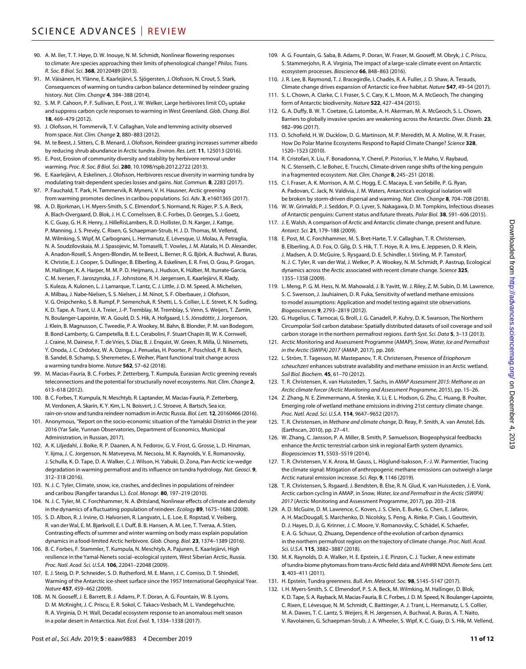- 90. A. M. Iler, T. T. Høye, D. W. Inouye, N. M. Schmidt, Nonlinear flowering responses to climate: Are species approaching their limits of phenological change? *Philos. Trans. R. Soc. B Biol. Sci.* **368**, 20120489 (2013).
- 91. M. Väisänen, H. Ylänne, E. Kaarlejärvi, S. Sjögersten, J. Olofsson, N. Crout, S. Stark, Consequences of warming on tundra carbon balance determined by reindeer grazing history. *Nat. Clim. Change* **4**, 384–388 (2014).
- 92. S. M. P. Cahoon, P. F. Sullivan, E. Post, J. W. Welker, Large herbivores limit CO<sub>2</sub> uptake and suppress carbon cycle responses to warming in West Greenland. *Glob. Chang. Biol.* **18**, 469–479 (2012).
- 93. J. Olofsson, H. Tommervik, T. V. Callaghan, Vole and lemming activity observed from space. *Nat. Clim. Change* **2**, 880–883 (2012).
- 94. M. te Beest, J. Sitters, C. B. Menard, J. Olofsson, Reindeer grazing increases summer albedo by reducing shrub abundance in Arctic tundra. *Environ. Res. Lett.* **11**, 125013 (2016).
- 95. E. Post, Erosion of community diversity and stability by herbivore removal under warming. *Proc. R. Soc. B Biol. Sci.* **280**, 10.1098/rspb.2012.2722 (2013).
- 96. E. Kaarlejärvi, A. Eskelinen, J. Olofsson, Herbivores rescue diversity in warming tundra by modulating trait-dependent species losses and gains. *Nat. Commun.* **8**, 2283 (2017).
- 97. P. Fauchald, T. Park, H. Tømmervik, R. Myneni, V. H. Hausner, Arctic greening from warming promotes declines in caribou populations. *Sci. Adv.* **3**, e1601365 (2017).
- 98. A. D. Bjorkman, I. H. Myers-Smith, S. C. Elmendorf, S. Normand, N. Rüger, P. S. A. Beck, A. Blach-Overgaard, D. Blok, J. H. C. Cornelissen, B. C. Forbes, D. Georges, S. J. Goetz, K. C. Guay, G. H. R. Henry, J. HilleRisLambers, R. D. Hollister, D. N. Karger, J. Kattge, P. Manning, J. S. Prevéy, C. Rixen, G. Schaepman-Strub, H. J. D. Thomas, M. Vellend, M. Wilmking, S. Wipf, M. Carbognani, L. Hermanutz, E. Lévesque, U. Molau, A. Petraglia, N. A. Soudzilovskaia, M. J. Spasojevic, M. Tomaselli, T. Vowles, J. M. Alatalo, H. D. Alexander, A. Anadon-Rosell, S. Angers-Blondin, M. te Beest, L. Berner, R. G. Björk, A. Buchwal, A. Buras, K. Christie, E. J. Cooper, S. Dullinger, B. Elberling, A. Eskelinen, E. R. Frei, O. Grau, P. Grogan, M. Hallinger, K. A. Harper, M. M. P. D. Heijmans, J. Hudson, K. Hülber, M. Iturrate-Garcia, C. M. Iversen, F. Jaroszynska, J. F. Johnstone, R. H. Jørgensen, E. Kaarlejärvi, R. Klady, S. Kuleza, A. Kulonen, L. J. Lamarque, T. Lantz, C. J. Little, J. D. M. Speed, A. Michelsen, A. Milbau, J. Nabe-Nielsen, S. S. Nielsen, J. M. Ninot, S. F. Oberbauer, J. Olofsson, V. G. Onipchenko, S. B. Rumpf, P. Semenchuk, R. Shetti, L. S. Collier, L. E. Street, K. N. Suding, K. D. Tape, A. Trant, U. A. Treier, J.-P. Tremblay, M. Tremblay, S. Venn, S. Weijers, T. Zamin, N. Boulanger-Lapointe, W. A. Gould, D. S. Hik, A. Hofgaard, I. S. Jónsdóttir, J. Jorgenson, J. Klein, B. Magnusson, C. Tweedie, P. A. Wookey, M. Bahn, B. Blonder, P. M. van Bodegom, B. Bond-Lamberty, G. Campetella, B. E. L. Cerabolini, F. Stuart Chapin III, W. K. Cornwell, J. Craine, M. Dainese, F. T. de Vries, S. Díaz, B. J. Enquist, W. Green, R. Milla, Ü. Niinemets, Y. Onoda, J. C. Ordoñez, W. A. Ozinga, J. Penuelas, H. Poorter, P. Poschlod, P. B. Reich, B. Sandel, B. Schamp, S. Sheremetev, E. Weiher, Plant functional trait change across a warming tundra biome. *Nature* **562**, 57–62 (2018).
- 99. M. Macias-Fauria, B. C. Forbes, P. Zetterberg, T. Kumpula, Eurasian Arctic greening reveals teleconnections and the potential forstructurally novel ecosystems. *Nat. Clim. Change* **2**, 613–618 (2012).
- 100. B. C. Forbes, T. Kumpula, N. Meschtyb, R. Laptander, M. Macias-Fauria, P. Zetterberg, M. Verdonen, A. Skarin, K. Y. Kim, L. N. Boisvert, J. C. Stroeve, A. Bartsch, Sea ice, rain-on-snow and tundra reindeer nomadism inArctic Russia. *Biol. Lett.* **12**, 20160466 (2016).
- 101. Anonymous, "Report on the socio-economic situation of the Yamalskii District in the year 2016 (Yar Sale, Yunnan Observatories, Department of Economics, Municipal Administration, in Russian, 2017).
- 102. A. K. Liljedahl, J. Boike, R. P. Daanen, A. N. Fedorov, G. V. Frost, G. Grosse, L. D. Hinzman, Y. Iijma, J. C. Jorgenson, N. Matveyeva, M. Necsoiu, M. K. Raynolds, V. E. Romanovsky, J. Schulla, K. D. Tape, D. A. Walker, C. J. Wilson, H. Yabuki, D. Zona, Pan-Arctic ice-wedge degradation in warming permafrost and its influence on tundra hydrology. *Nat. Geosci.* **9**, 312–318 (2016).
- 103. N. J. C. Tyler, Climate, snow, ice, crashes, and declines in populations of reindeer and caribou (Rangifer tarandus L.). *Ecol. Monogr.* **80**, 197–219 (2010).
- 104. N. J. C. Tyler, M. C. Forchhammer, N. A. Øritsland, Nonlinear effects of climate and density in the dynamics of a fluctuating population of reindeer. *Ecology* **89**, 1675–1686 (2008).
- 105. S. D. Albon, R. J. Irvine, O. Halvorsen, R. Langvatn, L. E. Loe, E. Ropstad, V. Veiberg, R. van der Wal, E. M. Bjørkvoll, E. I. Duff, B. B. Hansen, A. M. Lee, T. Tveraa, A. Stien, Contrasting effects of summer and winter warming on body mass explain population dynamics in a food-limited Arctic herbivore. *Glob. Chang. Biol.* **23**, 1374–1389 (2016).
- 106. B. C. Forbes, F. Stammler, T. Kumpula, N. Meschtyb, A. Pajunen, E. Kaarlejärvi, High resilience in the Yamal-Nenets social–ecological system, West Siberian Arctic, Russia. *Proc. Natl. Acad. Sci. U.S.A.* **106**, 22041–22048 (2009).
- 107. E. J. Steig, D. P. Schneider, S. D. Rutherford, M. E. Mann, J. C. Comiso, D. T. Shindell, Warming of the Antarctic ice-sheet surface since the 1957 International Geophysical Year. *Nature* **457**, 459–462 (2009).
- 108. M. N. Gooseff, J. E. Barrett, B. J. Adams, P. T. Doran, A. G. Fountain, W. B. Lyons, D. M. McKnight, J. C. Priscu, E. R. Sokol, C. Takacs-Vesbach, M. L. Vandegehuchte, R. A. Virginia, D. H. Wall, Decadal ecosystem response to an anomalous melt season in a polar desert in Antarctica. *Nat. Ecol. Evol.* **1**, 1334–1338 (2017).
- 109. A. G. Fountain, G. Saba, B. Adams, P. Doran, W. Fraser, M. Gooseff, M. Obryk, J. C. Priscu, S. Stammerjohn, R. A. Virginia, The impact of a large-scale climate event on Antarctic ecosystem processes. *Bioscience* **66**, 848–863 (2016).
- 110. J. R. Lee, B. Raymond, T. J. Bracegirdle, I. Chadès, R. A. Fuller, J. D. Shaw, A. Terauds, Climate change drives expansion of Antarctic ice-free habitat. *Nature* **547**, 49–54 (2017).
- 111. S. L. Chown, A. Clarke, C. I. Fraser, S. C. Cary, K. L. Moon, M. A. McGeoch, The changing form of Antarctic biodiversity. *Nature* **522**, 427–434 (2015).
- 112. G. A. Duffy, B. W. T. Coetzee, G. Latombe, A. H. Akerman, M. A. McGeoch, S. L. Chown, Barriers to globally invasive species are weakening across the Antarctic. *Diver. Distrib.* **23**, 982–996 (2017).
- 113. O. Schofield, H. W. Ducklow, D. G. Martinson, M. P. Meredith, M. A. Moline, W. R. Fraser, How Do Polar Marine Ecosystems Respond to Rapid Climate Change? *Science* **328**, 1520–1523 (2010).
- 114. R. Cristofari, X. Liu, F. Bonadonna, Y. Cherel, P. Pistorius, Y. le Maho, V. Raybaud, N. C. Stenseth, C. le Bohec, E. Trucchi, Climate-driven range shifts of the king penguin in a fragmented ecosystem. *Nat. Clim. Change* **8**, 245–251 (2018).
- 115. C. I. Fraser, A. K. Morrison, A. M. C. Hogg, E. C. Macaya, E. van Sebille, P. G. Ryan, A. Padovan, C. Jack, N. Valdivia, J. M. Waters, Antarctica's ecological isolation will be broken by storm-driven dispersal and warming. *Nat. Clim. Change* **8**, 704–708 (2018).
- 116. W. W. Grimaldi, P. J. Seddon, P. O. Lyver, S. Nakagawa, D. M. Tompkins, Infectious diseases of Antarctic penguins: Current status and future threats. *Polar Biol.* **38**, 591–606 (2015).
- 117. J. E. Walsh, A comparison of Arctic and Antarctic climate change, present and future. *Antarct. Sci.* **21**, 179–188 (2009).
- 118. E. Post, M. C. Forchhammer, M. S. Bret-Harte, T. V. Callaghan, T. R. Christensen, B. Elberling, A. D. Fox, O. Gilg, D. S. Hik, T. T. Hoye, R. A. Ims, E. Jeppesen, D. R. Klein, J. Madsen, A. D. McGuire, S. Rysgaard, D. E. Schindler, I. Stirling, M. P. Tamstorf, N. J. C. Tyler, R. van der Wal, J. Welker, P. A. Wookey, N. M. Schmidt, P. Aastrup, Ecological dynamics across the Arctic associated with recent climate change. *Science* **325**, 1355–1358 (2009).
- 119. L. Meng, P. G. M. Hess, N. M. Mahowald, J. B. Yavitt, W. J. Riley, Z. M. Subin, D. M. Lawrence, S. C. Swenson, J. Jauhiainen, D. R. Fuka, Sensitivity of wetland methane emissions to model assumptions: Application and model testing against site observations. *Biogeosciences* **9**, 2793–2819 (2012).
- 120. G. Hugelius, C. Tarnocai, G. Broll, J. G. Canadell, P. Kuhry, D. K. Swanson, The Northern Circumpolar Soil carbon database: Spatially distributed datasets ofsoil coverage and soil carbon storage in the northern permafrost regions. *Earth Syst. Sci. Data* **5**, 3–13 (2013).
- 121. Arctic Monitoring and Assessment Programme (AMAP), *Snow, Water, Ice and Permafrost in the Arctic (SWIPA) 2017* (AMAP, 2017), pp. 269.
- 122. L. Ström, T. Tagesson, M. Mastepanov, T. R. Christensen, Presence of *Eriophorum scheuchzeri* enhances substrate availability and methane emission in an Arctic wetland. *Soil Biol. Biochem.* **45**, 61–70 (2012).
- 123. T. R. Christensen, K. van Huissteden, T. Sachs, in *AMAP Assessment 2015: Methane as an Arctic climate forcer (Arctic Monitoring and Assessment Programme*, 2015), pp. 15–26.
- 124. Z. Zhang, N. E. Zimmermann, A. Stenke, X. Li, E. L. Hodson, G. Zhu, C. Huang, B. Poulter, Emerging role of wetland methane emissions in driving 21st century climate change. *Proc. Natl. Acad. Sci. U.S.A.* **114**, 9647–9652 (2017).
- 125. T. R. Christensen, in *Methane and climate change*, D. Reay, P. Smith, A. van Amstel, Eds. (Earthscan, 2010), pp. 27–41.
- 126. W. Zhang, C. Jansson, P. A. Miller, B. Smith, P. Samuelsson, Biogeophysical feedbacks enhance the Arctic terrestrial carbon sink in regional Earth system dynamics. *Biogeosciences* **11**, 5503–5519 (2014).
- 127. T. R. Christensen, V. K. Arora, M. Gauss, L. Höglund-Isaksson, F.-J. W. Parmentier, Tracing the climate signal: Mitigation of anthropogenic methane emissions can outweigh a large Arctic natural emission increase. *Sci. Rep.* **9**, 1146 (2019).
- 128. T. R. Christensen, S. Rsgaard, J. Bendsten, B. Else, R. N. Glud, K. van Huissteden, J. E. Vonk, Arctic carbon cycling in AMAP, in *Snow, Water, Ice and Permafrost in the Arctic (SWIPA) 2017* (Arctic Monitoring and Assessment Programme, 2017), pp. 203–218.
- 129. A. D. McGuire, D. M. Lawrence, C. Koven, J. S. Clein, E. Burke, G. Chen, E. Jafarov, A. H. MacDougall, S. Marchenko, D. Nicolsky, S. Peng, A. Rinke, P. Ciais, I. Gouttevin, D. J. Hayes, D. Ji, G. Krinner, J. C. Moore, V. Romanovsky, C. Schädel, K. Schaefer, E. A. G. Schuur, Q. Zhuang, Dependence of the evolution of carbon dynamics in the northern permafrost region on the trajectory of climate change. *Proc. Natl. Acad. Sci. U.S.A.* **115**, 3882–3887 (2018).
- 130. M. K. Raynolds, D. A. Walker, H. E. Epstein, J. E. Pinzon, C. J. Tucker, A new estimate oftundra-biome phytomass from trans-Arctic field data andAVHRR NDVI. *Remote Sens. Lett.* **3**, 403–411 (2011).
- 131. H. Epstein, Tundra greenness. *Bull. Am. Meteorol. Soc.* **98**, S145–S147 (2017).
- 132. I. H. Myers-Smith, S. C. Elmendorf, P. S. A. Beck, M. Wilmking, M. Hallinger, D. Blok, K. D. Tape, S. A. Rayback, M. Macias-Fauria, B. C. Forbes, J. D. M. Speed, N. Boulanger-Lapointe, C. Rixen, E. Lévesque, N. M. Schmidt, C. Baittinger, A. J. Trant, L. Hermanutz, L. S. Collier, M. A. Dawes, T. C. Lantz, S. Weijers, R. H. Jørgensen, A. Buchwal, A. Buras, A. T. Naito, V. Ravolainen, G. Schaepman-Strub, J. A. Wheeler, S. Wipf, K. C. Guay, D. S. Hik, M. Vellend,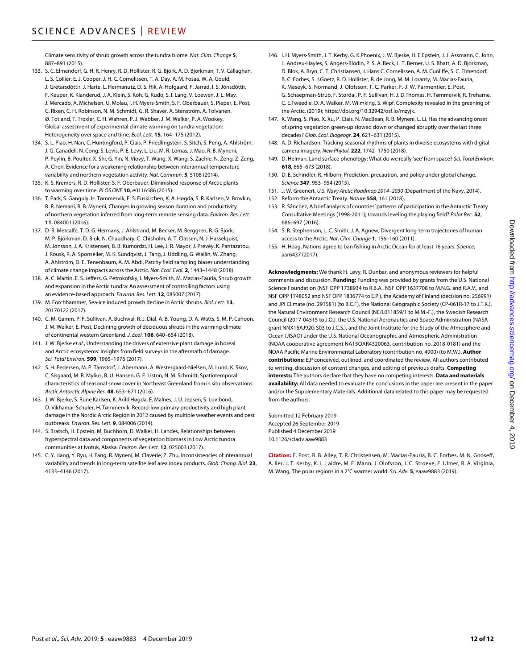Climate sensitivity ofshrub growth across the tundra biome. *Nat. Clim. Change* **5**, 887–891 (2015).

- 133. S. C. Elmendorf, G. H. R. Henry, R. D. Hollister, R. G. Björk, A. D. Bjorkman, T. V. Callaghan, L. S. Collier, E. J. Cooper, J. H. C. Cornelissen, T. A. Day, A. M. Fosaa, W. A. Gould, J. Grétarsdóttir, J. Harte, L. Hermanutz, D. S. Hik, A. Hofgaard, F. Jarrad, I. S. Jónsdóttir, F. Keuper, K. Klanderud, J. A. Klein, S. Koh, G. Kudo, S. I. Lang, V. Loewen, J. L. May, J. Mercado, A. Michelsen, U. Molau, I. H. Myers-Smith, S. F. Oberbauer, S. Pieper, E. Post, C. Rixen, C. H. Robinson, N. M. Schmidt, G. R. Shaver, A. Stenström, A. Tolvanen, Ø. Totland, T. Troxler, C. H. Wahren, P. J. Webber, J. M. Welker, P. A. Wookey, Global assessment of experimental climate warming on tundra vegetation: Heterogeneity over space and time. *Ecol. Lett.* **15**, 164–175 (2012).
- 134. S. L. Piao, H. Nan, C. Huntingford, P. Ciais, P. Friedlingstein, S. Sitch, S. Peng, A. Ahlström, J. G. Canadell, N. Cong, S. Levis, P. E. Levy, L. Liu, M. R. Lomas, J. Mao, R. B. Myneni, P. Peylin, B. Poulter, X. Shi, G. Yin, N. Viovy, T. Wang, X. Wang, S. Zaehle, N. Zeng, Z. Zeng, A. Chen, Evidence for a weakening relationship between interannual temperature variability and northern vegetation activity. *Nat. Commun.* **5**, 5108 (2014).
- 135. K. S. Kremers, R. D. Hollister, S. F. Oberbauer, Diminished response of Arctic plants to warming over time. *PLOS ONE* **10**, e0116586 (2015).
- 136. T. Park, S. Ganguly, H. Tømmervik, E. S. Euskirchen, K. A. Høgda, S. R. Karlsen, V. Brovkin, R. R. Nemani, R. B. Myneni, Changes in growing season duration and productivity of northern vegetation inferred from long-term remote sensing data. *Environ. Res. Lett.* **11**, 084001 (2016).
- 137. D. B. Metcalfe, T. D. G. Hermans, J. Ahlstrand, M. Becker, M. Berggren, R. G. Björk, M. P. Björkman, D. Blok, N. Chaudhary, C. Chisholm, A. T. Classen, N. J. Hasselquist, M. Jonsson, J. A. Kristensen, B. B. Kumordzi, H. Lee, J. R. Mayor, J. Prevéy, K. Pantazatou, J. Rousk, R. A. Sponseller, M. K. Sundqvist, J. Tang, J. Uddling, G. Wallin, W. Zhang, A. Ahlström, D. E. Tenenbaum, A. M. Abdi, Patchy field sampling biases understanding of climate change impacts across the Arctic. *Nat. Ecol. Evol.* **2**, 1443–1448 (2018).
- 138. A. C. Martin, E. S. Jeffers, G. Petrokofsky, I. Myers-Smith, M. Macias-Fauria, Shrub growth and expansion in the Arctic tundra: An assessment of controlling factors using an evidence-based approach. *Environ. Res. Lett.* **12**, 085007 (2017).
- 139. M. Forchhammer, Sea-ice induced growth decline in Arctic shrubs. *Biol. Lett.* **13**, 20170122 (2017).
- 140. C. M. Gamm, P. F. Sullivan, A. Buchwal, R. J. Dial, A. B. Young, D. A. Watts, S. M. P. Cahoon, J. M. Welker, E. Post, Declining growth of deciduous shrubs in the warming climate of continental western Greenland. *J. Ecol.* **106**, 640–654 (2018).
- 141. J. W. Bjerke *et al.*, Understanding the drivers of extensive plant damage in boreal and Arctic ecosystems: Insights from field surveys in the aftermath of damage. *Sci. Total Environ.* **599**, 1965–1976 (2017).
- 142. S. H. Pedersen, M. P. Tamstorf, J. Abermann, A. Westergaard-Nielsen, M. Lund, K. Skov, C. Sisgaard, M. R. Mylius, B. U. Hansen, G. E. Liston, N. M. Schmidt, Spatiotemporal characteristics of seasonal snow cover in Northeast Greenland from in situ observations. *Arctic Antarctic Alpine Res.* **48**, 653–671 (2016).
- 143. J. W. Bjerke, S. Rune Karlsen, K. Arild Høgda, E. Malnes, J. U. Jepsen, S. Lovibond, D. Vikhamar-Schuler, H. Tømmervik, Record-low primary productivity and high plant damage in the Nordic Arctic Region in 2012 caused by multiple weather events and pest outbreaks. *Environ. Res. Lett.* **9**, 084006 (2014).
- 144. S. Bratsch, H. Epstein, M. Buchhorn, D. Walker, H. Landes, Relationships between hyperspectral data and components of vegetation biomass in Low Arctic tundra communities at Ivotuk, Alaska. *Environ. Res. Lett.* **12**, 025003 (2017).
- 145. C. Y. Jiang, Y. Ryu, H. Fang, R. Myneni, M. Claverie, Z. Zhu, Inconsistencies of interannual variability and trends in long-term satellite leaf area index products. *Glob. Chang. Biol.* **23**, 4133–4146 (2017).
- 146. I. H. Myers-Smith, J. T. Kerby, G. K.Phoenix, J. W. Bjerke, H. E.Epstein, J. J. Assmann, C. John, L. Andreu-Hayles, S. Angers-Blodin, P. S. A. Beck, L. T. Berner, U. S. Bhatt, A. D. Bjorkman, D. Blok, A. Bryn, C. T. Christiansen, J. Hans C. Cornelissen, A. M. Cunliffe, S. C. Elmendorf, B. C. Forbes, S. J.Goetz, R. D. Hollister, R. de Jong, M. M. Loranty, M. Macias-Fauria, K. Maseyk, S. Normand, J. Olofsson, T. C. Parker, F.-J. W. Parmentier, E. Post, G. Schaepman-Strub, F. Stordal, P. F. Sullivan, H. J. D.Thomas, H. Tømmervik, R. Treharne, C. E.Tweedie, D. A. Walker, M. Wilmking, S. Wipf, Complexity revealed in the greening of the Arctic. (2019); [https://doi.org/10.32942/osf.io/mzyjk.](https://doi.org/10.32942/osf.io/mzyjk)
- 147. X. Wang, S. Piao, X. Xu, P. Ciais, N. MacBean, R. B. Myneni, L. Li, Has the advancing onset ofspring vegetation green-up slowed down or changed abruptly over the last three decades? *Glob. Ecol. Biogeogr.* **24**, 621–631 (2015).
- 148. A. D. Richardson, Tracking seasonal rhythms of plants in diverse ecosystems with digital camera imagery. *New Phytol.* **222**, 1742–1750 (2018).
- 149. D. Helman, Land surface phenology: What do we really 'see' from space? *Sci. Total Environ.* **618**, 665–673 (2018).
- 150. D. E. Schindler, R. Hilborn, Prediction, precaution, and policy under global change. *Science* **347**, 953–954 (2015).
- 151. J. W. Greenert, *U.S. Navy Arctic Roadmap 2014–2030* (Department of the Navy, 2014).
- 152. Reform the Antarctic Treaty. *Nature* **558**, 161 (2018).
- 153. R. Sánchez, A brief analysis of countries' patterns of participation in the Antarctic Treaty Consultative Meetings (1998-2011); towards leveling the playing field? *Polar Rec.* **52**, 686–697 (2016).
- 154. S. R. Stephenson, L. C. Smith, J. A. Agnew, Divergent long-term trajectories of human access to the Arctic. *Nat. Clim. Change* **1**, 156–160 (2011).
- 155. H. Hoag, Nations agree to ban fishing in Arctic Ocean for at least 16 years. *Science*, aar6437 (2017).

**Acknowledgments:** We thank H. Levy, R. Dunbar, and anonymous reviewers for helpful comments and discussion. **Funding:** Funding was provided by grants from the U.S. National Science Foundation (NSF OPP 1738934 to R.B.A., NSF OPP 1637708 to M.N.G. and R.A.V., and NSF OPP 1748052 and NSF OPP 1836774 to E.P.), the Academy of Finland (decision no. 256991) and JPI Climate (no. 291581) (to B.C.F), the National Geographic Society (CP-061R-17 to J.T.K.), the Natural Environment Research Council (NE/L011859/1 to M.M.-F.), the Swedish Research Council (2017-04515 to J.O.), the U.S. National Aeronautics and Space Administration (NASA grant NNX16AJ92G S03 to J.C.S.), and the Joint Institute for the Study of the Atmosphere and Ocean (JISAO) under the U.S. National Oceanographic and Atmospheric Administration (NOAA cooperative agreement NA15OAR4320063, contribution no. 2018-0181) and the NOAA Pacific Marine Environmental Laboratory (contribution no. 4900) (to M.W.). **Author contributions:** E.P conceived, outlined, and coordinated the review. All authors contributed to writing, discussion of content changes, and editing of previous drafts. **Competing interests:** The authors declare that they have no competing interests. **Data and materials availability:** All data needed to evaluate the conclusions in the paper are present in the paper and/or the Supplementary Materials. Additional data related to this paper may be requested from the authors.

Submitted 12 February 2019 Accepted 26 September 2019 Published 4 December 2019 10.1126/sciadv.aaw9883

**Citation:** E. Post, R. B. Alley, T. R. Christensen, M. Macias-Fauria, B. C. Forbes, M. N. Gooseff, A. Iler, J. T. Kerby, K. L. Laidre, M. E. Mann, J. Olofsson, J. C. Stroeve, F. Ulmer, R. A. Virginia, M. Wang, The polar regions in a 2°C warmer world. *Sci. Adv.* **5**, eaaw9883 (2019).